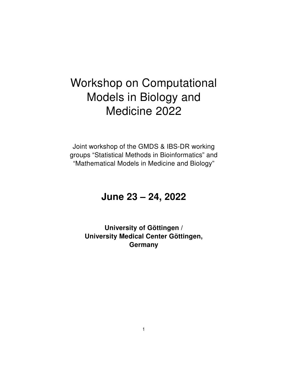# Workshop on Computational Models in Biology and Medicine 2022

Joint workshop of the GMDS & IBS-DR working groups "Statistical Methods in Bioinformatics" and "Mathematical Models in Medicine and Biology"

# June 23 – 24, 2022

University of Göttingen / University Medical Center Göttingen, **Germany**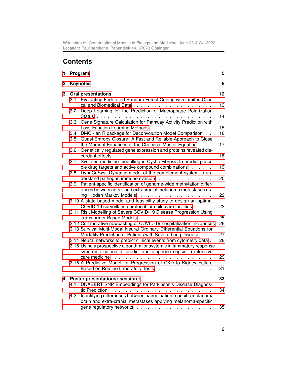Workshop on Computational Models in Biology and Medicine, June 23 & 24, 2022, Location: Paulinerkirche, Papendiek 14, 37073 Göttingen

# **Contents**

| 1 | Program    |                                                                                                                                                                 |          |
|---|------------|-----------------------------------------------------------------------------------------------------------------------------------------------------------------|----------|
| 2 |            | <b>Keynotes</b>                                                                                                                                                 | 8        |
| 3 | 3.1        | <b>Oral presentations</b><br>Evaluating Federated Random Forest Coping with Limited Clini-                                                                      | 12       |
|   | 3.2        | Deep Learning for the Prediction of Macrophage Polarization                                                                                                     | 13<br>14 |
|   | 3.3        | Gene Signature Calculation for Pathway Activity Prediction with                                                                                                 | 15       |
|   | 3.4        | DMC - an R package for Deconvolution Model Comparison<br>Quasi-Entropy Closure: A Fast and Reliable Approach to Close                                           | 16       |
|   | 3.5<br>3.6 | the Moment Equations of the Chemical Master Equation<br>Genetically regulated gene expression and proteins revealed dis-                                        | 17       |
|   |            | Systems medicine modelling in Cystic Fibrosis to predict possi-                                                                                                 | 18       |
|   | 3.7        | ble drug targets and active compound combinations                                                                                                               | 19       |
|   | 3.8        | DynaCoSys: Dynamic model of the complement system to un-<br>derstand pathogen immune evasion                                                                    | 20       |
|   | 3.9        | Patient-specific identification of genome-wide methylation differ-<br>ences between intra- and extracranial melanoma metastases us-<br>ing Hidden Markov Models | 22       |
|   |            | 3.10 A state based model and feasibility study to design an optimal<br>COVID-19 surveillance protocol for child care facilities                                 | 23       |
|   |            | 3.11 Risk Modelling of Severe COVID-19 Disease Progression Using                                                                                                | 25       |
|   |            | 3.12 Collaborative nowcasting of COVID-19 hospitalization incidences                                                                                            | 26       |
|   |            | 3.13 Survival Multi-Modal Neural Ordinary Differential Equations for<br>Mortality Prediction of Patients with Severe Lung Disease                               | 27       |
|   |            | 3.14 Neural networks to predict clinical events from cytometry data<br>3.15 Using a prospective algorithm for systemic inflammatory response                    | 28       |
|   |            | syndrome criteria to predict and diagnose sepsis in intensive                                                                                                   | 29       |
|   |            | 3.16 A Predictive Model for Progression of CKD to Kidney Failure<br>Based on Routine Laboratory Tests                                                           | 31       |
| 4 |            | Poster presentations: session I                                                                                                                                 | 33       |
|   | 4.1        | DNABERT SNP Embeddings for Parkinson's Disease Diagnos-                                                                                                         | 34       |
|   | 4.2        | Identifying differences between paired patient-specific melanoma<br>brain and extra-cranial metastases applying melanoma-specific                               |          |
|   |            |                                                                                                                                                                 | 35       |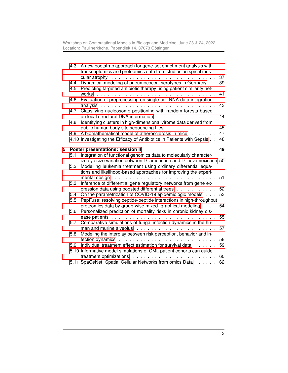Workshop on Computational Models in Biology and Medicine, June 23 & 24, 2022, Location: Paulinerkirche, Papendiek 14, 37073 Göttingen

|   | 4.3 | A new bootstrap approach for gene-set enrichment analysis with<br>transcriptomics and proteomics data from studies on spinal mus-       |          |
|---|-----|-----------------------------------------------------------------------------------------------------------------------------------------|----------|
|   | 4.4 | cular atrophy<br>Dynamical modeling of pneumococcal serotypes in Germany                                                                | 37<br>39 |
|   | 4.5 | Predicting targeted antibiotic therapy using patient similarity net-<br>works<br>.                                                      | 41       |
|   | 4.6 | Evaluation of preprocessing on single-cell RNA data integration                                                                         | 43       |
|   | 4.7 | Classifying nucleosome positioning with random forests based                                                                            |          |
|   | 4.8 | on local structural DNA information<br>Identifying clusters in high-dimensional virome data derived from                                | 44       |
|   | 4.9 | public human body site sequencing files<br>A biomathematical model of atherosclerosis in mice                                           | 45<br>47 |
|   |     | 4.10 Investigating the Efficacy of Antibiotics in Patients with Sepsis                                                                  | 48       |
| 5 |     | Poster presentations: session II                                                                                                        | 49       |
|   | 5.1 | Integration of functional genomics data to molecularly character-<br>ize eye size variation between D. americana and D. novamexicana 50 |          |
|   | 5.2 | Modelling leukemia treatment using ordinary differential equa-<br>tions and likelihood-based approaches for improving the experi-       |          |
|   | 5.3 | Inference of differential gene regulatory networks from gene ex-                                                                        | 51       |
|   | 5.4 | pression data using boosted differential trees<br>On the parametrization of COVID-19 epidemiologic models                               | 52<br>53 |
|   | 5.5 | PepFuse: resolving peptide-peptide interactions in high-throughput<br>proteomics data by group-wise mixed- graphical modeling           | 54       |
|   | 5.6 | Personalized prediction of mortality risks in chronic kidney dis-                                                                       |          |
|   | 5.7 | Comparative simulations of fungal infection dynamics in the hu-                                                                         | 55       |
|   | 5.8 | Modeling the interplay between risk perception, behavior and in-                                                                        | 57       |
|   | 5.9 | Individual treatment effect estimation for survival data                                                                                | 58<br>59 |
|   |     | 5.10 Informative model simulations of CML patient cohorts can guide                                                                     |          |
|   |     | treatment optimizations<br>5.11 SpaCeNet: Spatial Cellular Networks from omics Data                                                     | 60<br>62 |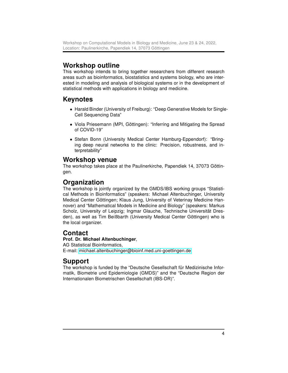# Workshop outline

This workshop intends to bring together researchers from different research areas such as bioinformatics, biostatistics and systems biology, who are interested in modeling and analysis of biological systems or in the development of statistical methods with applications in biology and medicine.

# Keynotes

- Harald Binder (University of Freiburg): "Deep Generative Models for Single-Cell Sequencing Data"
- Viola Priesemann (MPI, Göttingen): "Inferring and Mitigating the Spread of COVID-19"
- Stefan Bonn (University Medical Center Hamburg-Eppendorf): "Bringing deep neural networks to the clinic: Precision, robustness, and interpretability"

# Workshop venue

The workshop takes place at the Paulinerkirche, Papendiek 14, 37073 Göttingen.

# Organization

The workshop is jointly organized by the GMDS/IBS working groups "Statistical Methods in Bioinformatics" (speakers: Michael Altenbuchinger, University Medical Center Göttingen; Klaus Jung, University of Veterinay Medicine Hannover) and "Mathematical Models in Medicine and Biology" (speakers: Markus Scholz, University of Leipzig; Ingmar Glauche, Technische Universität Dresden), as well as Tim Beißbarth (University Medical Center Göttingen) who is the local organizer.

# **Contact**

### Prof. Dr. Michael Altenbuchinger,

AG Statistical Bioinformatics, E-mail: [michael.altenbuchinger@bioinf.med.uni-goettingen.de](mailto:michael.altenbuchinger@bioinf.med.uni-goettingen.de)

# Support

The workshop is funded by the "Deutsche Gesellschaft für Medizinische Informatik, Biometrie und Epidemiologie (GMDS)" and the "Deutsche Region der Internationalen Biometrischen Gesellschaft (IBS-DR)".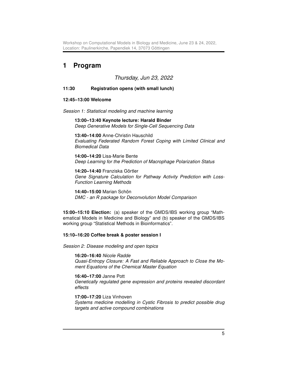Workshop on Computational Models in Biology and Medicine, June 23 & 24, 2022, Location: Paulinerkirche, Papendiek 14, 37073 Göttingen

# <span id="page-4-0"></span>1 Program

#### Thursday, Jun 23, 2022

#### 11:30 Registration opens (with small lunch)

#### 12:45–13:00 Welcome

Session 1: Statistical modeling and machine learning

13:00–13:40 Keynote lecture: Harald Binder Deep Generative Models for Single-Cell Sequencing Data

13:40–14:00 Anne-Christin Hauschild Evaluating Federated Random Forest Coping with Limited Clinical and Biomedical Data

14:00–14:20 Lisa-Marie Bente Deep Learning for the Prediction of Macrophage Polarization Status

14:20–14:40 Franziska Görtler Gene Signature Calculation for Pathway Activity Prediction with Loss-Function Learning Methods

14:40–15:00 Marian Schön DMC - an R package for Deconvolution Model Comparison

15:00–15:10 Election: (a) speaker of the GMDS/IBS working group "Mathematical Models in Medicine and Biology" and (b) speaker of the GMDS/IBS working group "Statistical Methods in Bioinformatics".

#### 15:10–16:20 Coffee break & poster session I

Session 2: Disease modeling and open topics

16:20–16:40 Nicole Radde Quasi-Entropy Closure: A Fast and Reliable Approach to Close the Moment Equations of the Chemical Master Equation

16:40–17:00 Janne Pott Genetically regulated gene expression and proteins revealed discordant effects

17:00–17:20 Liza Vinhoven Systems medicine modelling in Cystic Fibrosis to predict possible drug targets and active compound combinations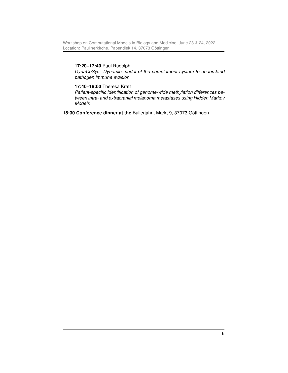#### 17:20–17:40 Paul Rudolph

DynaCoSys: Dynamic model of the complement system to understand pathogen immune evasion

#### 17:40–18:00 Theresa Kraft

Patient-specific identification of genome-wide methylation differences between intra- and extracranial melanoma metastases using Hidden Markov Models

18:30 Conference dinner at the Bullerjahn, Markt 9, 37073 Göttingen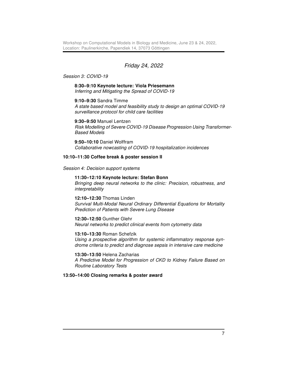#### Friday 24, 2022

#### Session 3: COVID-19

#### 8:30–9:10 Keynote lecture: Viola Priesemann Inferring and Mitigating the Spread of COVID-19

#### 9:10–9:30 Sandra Timme

A state based model and feasibility study to design an optimal COVID-19 surveillance protocol for child care facilities

#### 9:30–9:50 Manuel Lentzen

Risk Modelling of Severe COVID-19 Disease Progression Using Transformer-Based Models

9:50–10:10 Daniel Wolffram Collaborative nowcasting of COVID-19 hospitalization incidences

#### 10:10–11:30 Coffee break & poster session II

Session 4: Decision support systems

#### 11:30–12:10 Keynote lecture: Stefan Bonn

Bringing deep neural networks to the clinic: Precision, robustness, and interpretability

12:10–12:30 Thomas Linden Survival Multi-Modal Neural Ordinary Differential Equations for Mortality Prediction of Patients with Severe Lung Disease

#### 12:30–12:50 Gunther Glehr

Neural networks to predict clinical events from cytometry data

#### 13:10–13:30 Roman Schefzik

Using a prospective algorithm for systemic inflammatory response syndrome criteria to predict and diagnose sepsis in intensive care medicine

#### 13:30–13:50 Helena Zacharias

A Predictive Model for Progression of CKD to Kidney Failure Based on Routine Laboratory Tests

#### 13:50–14:00 Closing remarks & poster award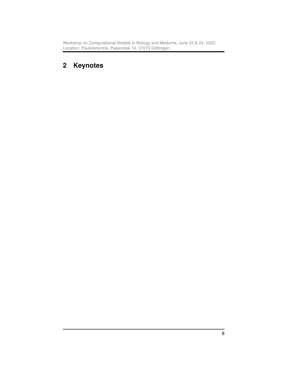Workshop on Computational Models in Biology and Medicine, June 23 & 24, 2022, Location: Paulinerkirche, Papendiek 14, 37073 Göttingen

# <span id="page-7-0"></span>2 Keynotes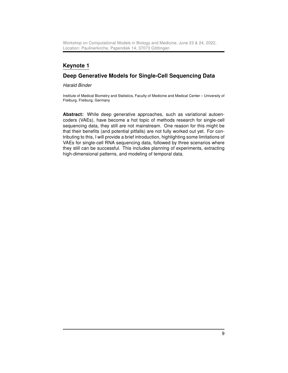Workshop on Computational Models in Biology and Medicine, June 23 & 24, 2022, Location: Paulinerkirche, Papendiek 14, 37073 Göttingen

# Keynote 1

### Deep Generative Models for Single-Cell Sequencing Data

Harald Binder

Institute of Medical Biometry and Statistics, Faculty of Medicine and Medical Center – University of Freiburg, Freiburg, Germany

Abstract: While deep generative approaches, such as variational autoencoders (VAEs), have become a hot topic of methods research for single-cell sequencing data, they still are not mainstream. One reason for this might be that their benefits (and potential pitfalls) are not fully worked out yet. For contributing to this, I will provide a brief introduction, highlighting some limitations of VAEs for single-cell RNA sequencing data, followed by three scenarios where they still can be successful. This includes planning of experiments, extracting high-dimensional patterns, and modeling of temporal data.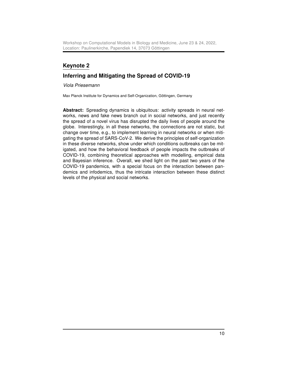# Keynote 2

# Inferring and Mitigating the Spread of COVID-19

Viola Priesemann

Max Planck Institute for Dynamics and Self-Organization, Göttingen, Germany

Abstract: Spreading dynamics is ubiquitous: activity spreads in neural networks, news and fake news branch out in social networks, and just recently the spread of a novel virus has disrupted the daily lives of people around the globe. Interestingly, in all these networks, the connections are not static, but change over time, e.g., to implement learning in neural networks or when mitigating the spread of SARS-CoV-2. We derive the principles of self-organization in these diverse networks, show under which conditions outbreaks can be mitigated, and how the behavioral feedback of people impacts the outbreaks of COVID-19, combining theoretical approaches with modelling, empirical data and Bayesian inference. Overall, we shed light on the past two years of the COVID-19 pandemics, with a special focus on the interaction between pandemics and infodemics, thus the intricate interaction between these distinct levels of the physical and social networks.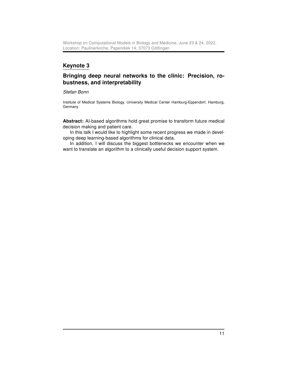# Keynote 3

# Bringing deep neural networks to the clinic: Precision, robustness, and interpretability

Stefan Bonn

Institute of Medical Systems Biology, University Medical Center Hamburg-Eppendorf, Hamburg, Germany

Abstract: AI-based algorithms hold great promise to transform future medical decision making and patient care.

In this talk I would like to highlight some recent progress we made in developing deep learning-based algorithms for clinical data.

In addition, I will discuss the biggest bottlenecks we encounter when we want to translate an algorithm to a clinically useful decision support system.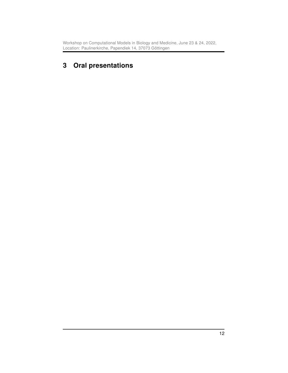# <span id="page-11-0"></span>3 Oral presentations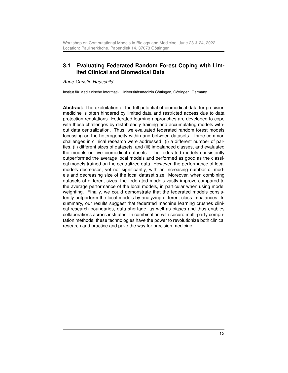# <span id="page-12-0"></span>3.1 Evaluating Federated Random Forest Coping with Limited Clinical and Biomedical Data

Anne-Christin Hauschild

Institut für Medizinische Informatik, Universitätsmedizin Göttingen, Göttingen, Germany

Abstract: The exploitation of the full potential of biomedical data for precision medicine is often hindered by limited data and restricted access due to data protection regulations. Federated learning approaches are developed to cope with these challenges by distributedly training and accumulating models without data centralization. Thus, we evaluated federated random forest models focussing on the heterogeneity within and between datasets. Three common challenges in clinical research were addressed: (i) a different number of parties, (ii) different sizes of datasets, and (iii) imbalanced classes, and evaluated the models on five biomedical datasets. The federated models consistently outperformed the average local models and performed as good as the classical models trained on the centralized data. However, the performance of local models decreases, yet not significantly, with an increasing number of models and decreasing size of the local dataset size. Moreover, when combining datasets of different sizes, the federated models vastly improve compared to the average performance of the local models, in particular when using model weighting. Finally, we could demonstrate that the federated models consistently outperform the local models by analyzing different class imbalances. In summary, our results suggest that federated machine learning crushes clinical research boundaries, data shortage, as well as biases and thus enables collaborations across institutes. In combination with secure multi-party computation methods, these technologies have the power to revolutionize both clinical research and practice and pave the way for precision medicine.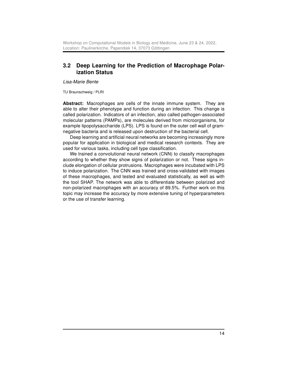## <span id="page-13-0"></span>3.2 Deep Learning for the Prediction of Macrophage Polarization Status

Lisa-Marie Bente

TU Braunschweig / PLRI

Abstract: Macrophages are cells of the innate immune system. They are able to alter their phenotype and function during an infection. This change is called polarization. Indicators of an infection, also called pathogen-associated molecular patterns (PAMPs), are molecules derived from microorganisms, for example lipopolysaccharide (LPS). LPS is found on the outer cell wall of gramnegative bacteria and is released upon destruction of the bacterial cell.

Deep learning and artificial neural networks are becoming increasingly more popular for application in biological and medical research contexts. They are used for various tasks, including cell type classification.

We trained a convolutional neural network (CNN) to classify macrophages according to whether they show signs of polarization or not. These signs include elongation of cellular protrusions. Macrophages were incubated with LPS to induce polarization. The CNN was trained and cross-validated with images of these macrophages, and tested and evaluated statistically, as well as with the tool SHAP. The network was able to differentiate between polarized and non-polarized macrophages with an accuracy of 89.5%. Further work on this topic may increase the accuracy by more extensive tuning of hyperparameters or the use of transfer learning.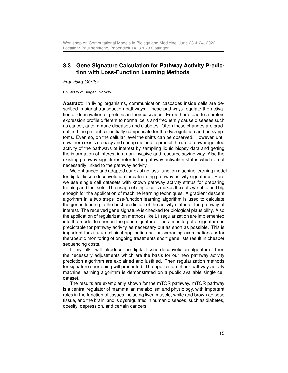#### <span id="page-14-0"></span>3.3 Gene Signature Calculation for Pathway Activity Prediction with Loss-Function Learning Methods

Franziska Görtler

University of Bergen, Norway

Abstract: In living organisms, communication cascades inside cells are described in signal transduction pathways. These pathways regulate the activation or deactivation of proteins in their cascades. Errors here lead to a protein expression profile different to normal cells and frequently cause diseases such as cancer, autoimmune diseases and diabetes. Often these changes are gradual and the patient can initially compensate for the dysregulation and no symptoms. Even so, on the cellular level the shifts can be observed. However, until now there exists no easy and cheap method to predict the up- or downregulated activity of the pathways of interest by sampling liquid biopsy data and getting the information of interest in a non-invasive and resource saving way. Also the existing pathway signatures refer to the pathway activation status which is not necessarily linked to the pathway activity.

We enhanced and adapted our existing loss-function machine learning model for digital tissue deconvolution for calculating pathway activity signatures. Here we use single cell datasets with known pathway activity status for preparing training and test sets. The usage of single cells makes the sets variable and big enough for the application of machine learning techniques. A gradient descent algorithm in a two steps loss-function learning algorithm is used to calculate the genes leading to the best prediction of the activity status of the pathway of interest. The received gene signature is checked for biological plausibility. Also the application of regularization methods like L1 regularization are implemented into the model to shorten the gene signature. The aim is to get a signature as predictable for pathway activity as necessary but as short as possible. This is important for a future clinical application as for screening examinations or for therapeutic monitoring of ongoing treatments short gene lists result in cheaper sequencing costs.

In my talk I will introduce the digital tissue deconvolution algorithm. Then the necessary adjustments which are the basis for our new pathway activity prediction algorithm are explained and justified. Then regularization methods for signature shortening will presented. The application of our pathway activity machine learning algorithm is demonstrated on a public available single cell dataset.

The results are exemplarily shown for the mTOR pathway. mTOR pathway is a central regulator of mammalian metabolism and physiology, with important roles in the function of tissues including liver, muscle, white and brown adipose tissue, and the brain, and is dysregulated in human diseases, such as diabetes, obesity, depression, and certain cancers.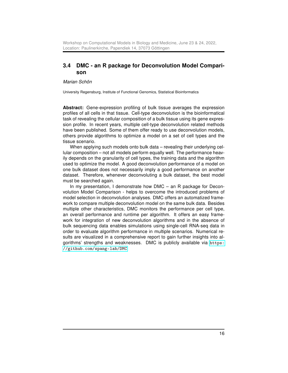### <span id="page-15-0"></span>3.4 DMC - an R package for Deconvolution Model Comparison

Marian Schön

University Regensburg, Institute of Functional Genomics, Statistical Bioinformatics

Abstract: Gene-expression profiling of bulk tissue averages the expression profiles of all cells in that tissue. Cell-type deconvolution is the bioinformatical task of revealing the cellular composition of a bulk tissue using its gene expression profile. In recent years, multiple cell-type deconvolution related methods have been published. Some of them offer ready to use deconvolution models, others provide algorithms to optimize a model on a set of cell types and the tissue scenario.

When applying such models onto bulk data – revealing their underlying cellular composition – not all models perform equally well. The performance heavily depends on the granularity of cell types, the training data and the algorithm used to optimize the model. A good deconvolution performance of a model on one bulk dataset does not necessarily imply a good performance on another dataset. Therefore, whenever deconvoluting a bulk dataset, the best model must be searched again.

In my presentation, I demonstrate how DMC – an R package for Deconvolution Model Comparison - helps to overcome the introduced problems of model selection in deconvolution analyses. DMC offers an automatized framework to compare multiple deconvolution model on the same bulk data. Besides multiple other characteristics, DMC monitors the performance per cell type, an overall performance and runtime per algorithm. It offers an easy framework for integration of new deconvolution algorithms and in the absence of bulk sequencing data enables simulations using single-cell RNA-seq data in order to evaluate algorithm performance in multiple scenarios. Numerical results are visualized in a comprehensive report to gain further insights into algorithms' strengths and weaknesses. DMC is publicly available via [https:](https://github.com/spang-lab/DMC) [//github.com/spang-lab/DMC](https://github.com/spang-lab/DMC)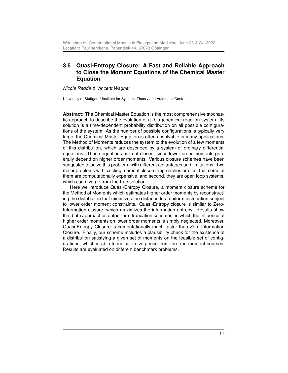# <span id="page-16-0"></span>3.5 Quasi-Entropy Closure: A Fast and Reliable Approach to Close the Moment Equations of the Chemical Master Equation

#### Nicole Radde & Vincent Wagner

University of Stuttgart / Institute for Systems Theory and Automatic Control

Abstract: The Chemical Master Equation is the most comprehensive stochastic approach to describe the evolution of a (bio-)chemical reaction system. Its solution is a time-dependent probability distribution on all possible configurations of the system. As the number of possible configurations is typically very large, the Chemical Master Equation is often unsolvable in many applications. The Method of Moments reduces the system to the evolution of a few moments of this distribution, which are described by a system of ordinary differential equations. Those equations are not closed, since lower order moments generally depend on higher order moments. Various closure schemes have been suggested to solve this problem, with different advantages and limitations. Two major problems with existing moment closure approaches are first that some of them are computationally expensive, and second, they are open loop systems, which can diverge from the true solution.

Here we introduce Quasi-Entropy Closure, a moment closure scheme for the Method of Moments which estimates higher order moments by reconstructing the distribution that minimizes the distance to a uniform distribution subject to lower order moment constraints. Quasi-Entropy closure is similar to Zero-Information closure, which maximizes the information entropy. Results show that both approaches outperform truncation schemes, in which the influence of higher order moments on lower order moments is simply neglected. Moreover, Quasi-Entropy Closure is computationally much faster than Zero-Information Closure. Finally, our scheme includes a plausibility check for the existence of a distribution satisfying a given set of moments on the feasible set of configurations, which is able to indicate divergence from the true moment courses. Results are evaluated on different benchmark problems.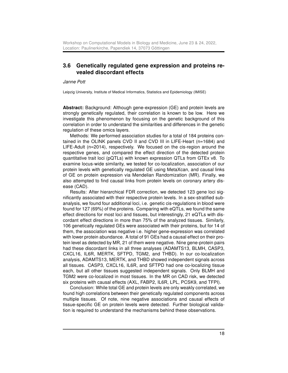#### <span id="page-17-0"></span>3.6 Genetically regulated gene expression and proteins revealed discordant effects

Janne Pott

Leipzig University, Institute of Medical Informatics, Statistics and Epidemiology (IMISE)

Abstract: Background: Although gene-expression (GE) and protein levels are strongly genetically regulated, their correlation is known to be low. Here we investigate this phenomenon by focusing on the genetic background of this correlation in order to understand the similarities and differences in the genetic regulation of these omics layers.

Methods: We performed association studies for a total of 184 proteins contained in the OLINK panels CVD II and CVD III in LIFE-Heart (n=1684) and LIFE-Adult (n=2014), respectively. We focused on the cis-region around the respective genes, and compared the effect direction of the detected protein quantitative trait loci (pQTLs) with known expression QTLs from GTEx v8. To examine locus-wide similarity, we tested for co-localization, association of our protein levels with genetically regulated GE using MetaXcan, and causal links of GE on protein expression via Mendelian Randomization (MR). Finally, we also attempted to find causal links from protein levels on coronary artery disease (CAD).

Results: After hierarchical FDR correction, we detected 123 gene loci significantly associated with their respective protein levels. In a sex-stratified subanalysis, we found four additional loci, i.e. genetic cis-regulations in blood were found for 127 (69%) of the proteins. Comparing with eQTLs, we found the same effect directions for most loci and tissues, but interestingly, 21 eQTLs with discordant effect directions in more than 75% of the analyzed tissues. Similarly, 106 genetically regulated GEs were associated with their proteins, but for 14 of them, the association was negative i.e. higher gene-expression was correlated with lower protein abundance. A total of 91 GEs had a causal effect on their protein level as detected by MR, 21 of them were negative. Nine gene-protein pairs had these discordant links in all three analyses (ADAMTS13, BLMH, CASP3, CXCL16, IL6R, MERTK, SFTPD, TGM2, and THBD). In our co-localization analysis, ADAMTS13, MERTK, and THBD showed independent signals across all tissues. CASP3, CXCL16, IL6R, and SFTPD had one co-localizing tissue each, but all other tissues suggested independent signals. Only BLMH and TGM2 were co-localized in most tissues. In the MR on CAD risk, we detected six proteins with causal effects (AXL, FABP2, IL6R, LPL, PCSK9, and TFPI).

Conclusion: While total GE and protein levels are only weakly correlated, we found high correlations between their genetically regulated components across multiple tissues. Of note, nine negative associations and causal effects of tissue-specific GE on protein levels were detected. Further biological validation is required to understand the mechanisms behind these observations.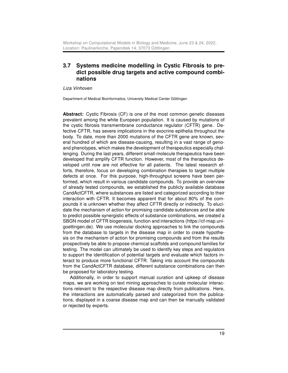### <span id="page-18-0"></span>3.7 Systems medicine modelling in Cystic Fibrosis to predict possible drug targets and active compound combinations

Liza Vinhoven

Department of Medical Bioinformatics, University Medical Center Göttingen

Abstract: Cystic Fibrosis (CF) is one of the most common genetic diseases prevalent among the white European population. It is caused by mutations of the cystic fibrosis transmembrane conductance regulator (CFTR) gene. Defective CFTR, has severe implications in the exocrine epithelia throughout the body. To date, more than 2000 mutations of the CFTR gene are known, several hundred of which are disease-causing, resulting in a vast range of genoand phenotypes, which makes the development of therapeutics especially challenging. During the last years, different small-molecule therapeutics have been developed that amplify CFTR function. However, most of the therapeutics developed until now are not effective for all patients. The latest research efforts, therefore, focus on developing combination therapies to target multiple defects at once. For this purpose, high-throughput screens have been performed, which result in various candidate compounds. To provide an overview of already tested compounds, we established the publicly available database CandActCFTR, where substances are listed and categorized according to their interaction with CFTR. It becomes apparent that for about 80% of the compounds it is unknown whether they affect CFTR directly or indirectly. To elucidate the mechanism of action for promising candidate substances and be able to predict possible synergistic effects of substance combinations, we created a SBGN model of CFTR biogenesis, function and interactions (https://cf-map.unigoettingen.de). We use molecular docking approaches to link the compounds from the database to targets in the disease map in order to create hypothesis on the mechanism of action for promising compounds and from the results prospectively be able to propose chemical scaffolds and compound families for testing. The model can ultimately be used to identify key steps and regulators to support the identification of potential targets and evaluate which factors interact to produce more functional CFTR. Taking into account the compounds from the CandActCFTR database, different substance combinations can then be proposed for laboratory testing.

Additionally, in order to support manual curation and upkeep of disease maps, we are working on text mining approaches to curate molecular interactions relevant to the respective disease map directly from publications. Here, the interactions are automatically parsed and categorized from the publications, displayed in a coarse disease map and can then be manually validated or rejected by experts.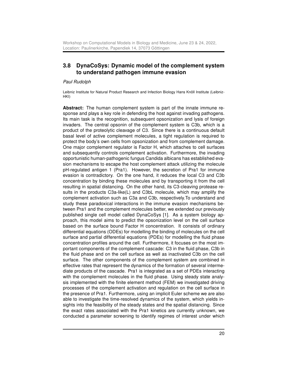# <span id="page-19-0"></span>3.8 DynaCoSys: Dynamic model of the complement system to understand pathogen immune evasion

#### Paul Rudolph

Leibniz Institute for Natural Product Research and Infection Biology Hans Knöll Institute (Leibniz-HKI)

Abstract: The human complement system is part of the innate immune response and plays a key role in defending the host against invading pathogens. Its main task is the recognition, subsequent opsonization and lysis of foreign invaders. The central opsonin of the complement system is C3b, which is a product of the proteolytic cleavage of C3. Since there is a continuous default basal level of active complement molecules, a tight regulation is required to protect the body's own cells from opsonization and from complement damage. One major complement regulator is Factor H, which attaches to cell surfaces and subsequently controls complement activation. Furthermore, the invading opportunistic human-pathogenic fungus Candida albicans has established evasion mechanisms to escape the host complement attack utilizing the molecule pH-regulated antigen 1 (Pra1). However, the secretion of Pra1 for immune evasion is contradictory. On the one hand, it reduces the local C3 and C3b concentration by binding these molecules and by transporting it from the cell resulting in spatial distancing. On the other hand, its C3-cleaving protease results in the products C3a-like(L) and C3bL molecule, which may amplify the complement activation such as C3a and C3b, respectively.To understand and study these paradoxical interactions in the immune evasion mechanisms between Pra1 and the complement molecules better, we extended our previously published single cell model called DynaCoSys [1]. As a system biology approach, this model aims to predict the opsonization level on the cell surface based on the surface bound Factor H concentration. It consists of ordinary differential equations (ODEs) for modelling the binding of molecules on the cell surface and partial differential equations (PDEs) for modelling the fluid phase concentration profiles around the cell. Furthermore, it focuses on the most important components of the complement cascade: C3 in the fluid phase, C3b in the fluid phase and on the cell surface as well as inactivated C3b on the cell surface. The other components of the complement system are combined in effective rates that represent the dynamics of the formation of several intermediate products of the cascade. Pra1 is integrated as a set of PDEs interacting with the complement molecules in the fluid phase. Using steady state analysis implemented with the finite element method (FEM) we investigated driving processes of the complement activation and regulation on the cell surface in the presence of Pra1. Furthermore, using an implicit Euler scheme we are also able to investigate the time-resolved dynamics of the system, which yields insights into the feasibility of the steady states and the spatial distancing. Since the exact rates associated with the Pra1 kinetics are currently unknown, we conducted a parameter screening to identify regimes of interest under which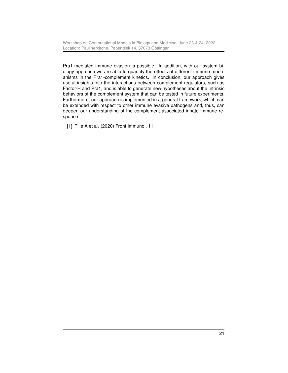Workshop on Computational Models in Biology and Medicine, June 23 & 24, 2022, Location: Paulinerkirche, Papendiek 14, 37073 Göttingen

Pra1-mediated immune evasion is possible. In addition, with our system biology approach we are able to quantify the effects of different immune mechanisms in the Pra1-complement kinetics. In conclusion, our approach gives useful insights into the interactions between complement regulators, such as Factor-H and Pra1, and is able to generate new hypotheses about the intrinsic behaviors of the complement system that can be tested in future experiments. Furthermore, our approach is implemented in a general framework, which can be extended with respect to other immune evasive pathogens and, thus, can deepen our understanding of the complement associated innate immune response.

[1] Tille A et al. (2020) Front Immunol, 11.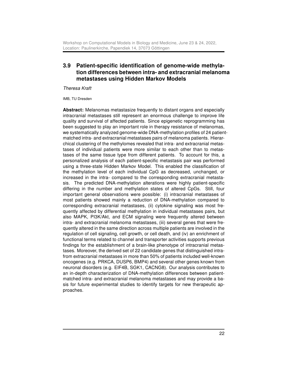## <span id="page-21-0"></span>3.9 Patient-specific identification of genome-wide methylation differences between intra- and extracranial melanoma metastases using Hidden Markov Models

Theresa Kraft

IMB, TU Dresden

Abstract: Melanomas metastasize frequently to distant organs and especially intracranial metastases still represent an enormous challenge to improve life quality and survival of affected patients. Since epigenetic reprogramming has been suggested to play an important role in therapy resistance of melanomas, we systematically analyzed genome-wide DNA-methylation profiles of 24 patientmatched intra- and extracranial metastases pairs of melanoma patients. Hierarchical clustering of the methylomes revealed that intra- and extracranial metastases of individual patients were more similar to each other than to metastases of the same tissue type from different patients. To account for this, a personalized analysis of each patient-specific metastasis pair was performed using a three-state Hidden Markov Model. This enabled the classification of the methylation level of each individual CpG as decreased, unchanged, or increased in the intra- compared to the corresponding extracranial metastasis. The predicted DNA-methylation alterations were highly patient-specific differing in the number and methylation states of altered CpGs. Still, four important general observations were possible: (i) intracranial metastases of most patients showed mainly a reduction of DNA-methylation compared to corresponding extracranial metastases, (ii) cytokine signaling was most frequently affected by differential methylation in individual metastases pairs, but also MAPK, PI3K/Akt, and ECM signaling were frequently altered between intra- and extracranial melanoma metastases, (iii) several genes that were frequently altered in the same direction across multiple patients are involved in the regulation of cell signaling, cell growth, or cell death, and (iv) an enrichment of functional terms related to channel and transporter activities supports previous findings for the establishment of a brain-like phenotype of intracranial metastases. Moreover, the derived set of 22 candidate genes that distinguished intrafrom extracranial metastases in more than 50% of patients included well-known oncogenes (e.g. PRKCA, DUSP6, BMP4) and several other genes known from neuronal disorders (e.g. EIF4B, SGK1, CACNG8). Our analysis contributes to an in-depth characterization of DNA-methylation differences between patientmatched intra- and extracranial melanoma metastases and may provide a basis for future experimental studies to identify targets for new therapeutic approaches.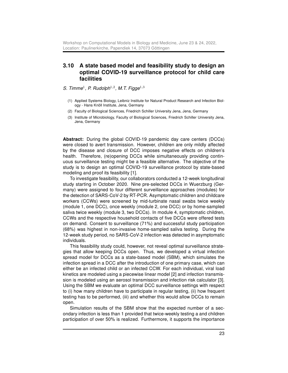#### <span id="page-22-0"></span>3.10 A state based model and feasibility study to design an optimal COVID-19 surveillance protocol for child care facilities

S. Timme<sup>1</sup>, P. Rudolph<sup>1,2</sup>, M.T. Figge<sup>1,3</sup>

- (1) Applied Systems Biology, Leibniz Institute for Natural Product Research and Infection Biology - Hans Knöll Institute, Jena, Germany
- (2) Faculty of Biological Sciences, Friedrich Schiller University Jena, Jena, Germany
- (3) Institute of Microbiology, Faculty of Biological Sciences, Friedrich Schiller University Jena, Jena, Germany

Abstract: During the global COVID-19 pandemic day care centers (DCCs) were closed to avert transmission. However, children are only mildly affected by the disease and closure of DCC imposes negative effects on children's health. Therefore, (re)opening DCCs while simultaneously providing continuous surveillance testing might be a feasible alternative. The objective of the study is to design an optimal COVID-19 surveillance protocol by state-based modeling and proof its feasibility [1].

To investigate feasibility, our collaborators conducted a 12-week longitudinal study starting in October 2020. Nine pre-selected DCCs in Wuerzburg (Germany) were assigned to four different surveillance approaches (modules) for the detection of SARS-CoV-2 by RT-PCR. Asymptomatic children and childcare workers (CCWs) were screened by mid-turbinate nasal swabs twice weekly (module 1, one DCC), once weekly (module 2, one DCC) or by home-sampled saliva twice weekly (module 3, two DCCs). In module 4, symptomatic children, CCWs and the respective household contacts of five DCCs were offered tests on demand. Consent to surveillance (71%) and successful study participation (68%) was highest in non-invasive home-sampled saliva testing. During the 12-week study period, no SARS-CoV-2 infection was detected in asymptomatic individuals.

This feasibility study could, however, not reveal optimal surveillance strategies that allow keeping DCCs open. Thus, we developed a virtual infection spread model for DCCs as a state-based model (SBM), which simulates the infection spread in a DCC after the introduction of one primary case, which can either be an infected child or an infected CCW. For each individual, viral load kinetics are modeled using a piecewise linear model [2] and infection transmission is modeled using an aerosol transmission and infection risk calculator [3]. Using the SBM we evaluate an optimal DCC surveillance settings with respect to (i) how many children have to participate in regular testing, (ii) how frequent testing has to be performed, (iii) and whether this would allow DCCs to remain open.

Simulation results of the SBM show that the expected number of a secondary infection is less than 1 provided that twice-weekly testing a and children participation of over 50% is realized. Furthermore, it supports the importance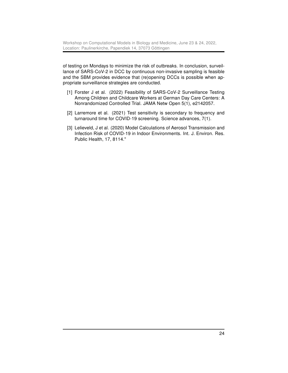of testing on Mondays to minimize the risk of outbreaks. In conclusion, surveillance of SARS-CoV-2 in DCC by continuous non-invasive sampling is feasible and the SBM provides evidence that (re)opening DCCs is possible when appropriate surveillance strategies are conducted.

- [1] Forster J et al. (2022) Feasibility of SARS-CoV-2 Surveillance Testing Among Children and Childcare Workers at German Day Care Centers: A Nonrandomized Controlled Trial. JAMA Netw Open 5(1), e2142057.
- [2] Larremore et al. (2021) Test sensitivity is secondary to frequency and turnaround time for COVID-19 screening. Science advances, 7(1).
- [3] Lelieveld, J et al. (2020) Model Calculations of Aerosol Transmission and Infection Risk of COVID-19 in Indoor Environments. Int. J. Environ. Res. Public Health, 17, 8114."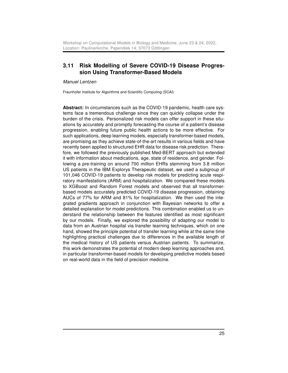### <span id="page-24-0"></span>3.11 Risk Modelling of Severe COVID-19 Disease Progression Using Transformer-Based Models

Manuel Lentzen

Fraunhofer Institute for Algorithms and Scientific Computing (SCAI)

Abstract: In circumstances such as the COVID-19 pandemic, health care systems face a tremendous challenge since they can quickly collapse under the burden of the crisis. Personalized risk models can offer support in these situations by accurately and promptly forecasting the course of a patient's disease progression, enabling future public health actions to be more effective. For such applications, deep learning models, especially transformer-based models, are promising as they achieve state-of-the-art results in various fields and have recently been applied to structured EHR data for disease risk prediction. Therefore, we followed the previously published Med-BERT approach but extended it with information about medications, age, state of residence, and gender. Following a pre-training on around 700 million EHRs stemming from 3.8 million US patients in the IBM Explorys Therapeutic dataset, we used a subgroup of 101,046 COVID-19 patients to develop risk models for predicting acute respiratory manifestations (ARM) and hospitalization. We compared these models to XGBoost and Random Forest models and observed that all transformerbased models accurately predicted COVID-19 disease progression, obtaining AUCs of 77% for ARM and 81% for hospitalization. We then used the integrated gradients approach in conjunction with Bayesian networks to offer a detailed explanation for model predictions. This combination enabled us to understand the relationship between the features identified as most significant by our models. Finally, we explored the possibility of adapting our model to data from an Austrian hospital via transfer learning techniques, which on one hand, showed the principle potential of transfer learning while at the same time highlighting practical challenges due to differences in the available length of the medical history of US patients versus Austrian patients. To summarize, this work demonstrates the potential of modern deep learning approaches and, in particular transformer-based models for developing predictive models based on real-world data in the field of precision medicine.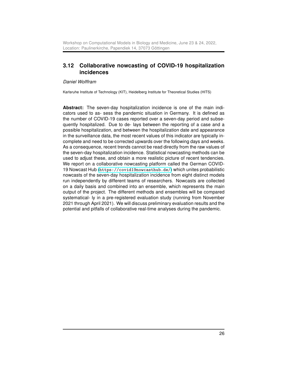## <span id="page-25-0"></span>3.12 Collaborative nowcasting of COVID-19 hospitalization incidences

#### Daniel Wolffram

Karlsruhe Institute of Technology (KIT), Heidelberg Institute for Theoretical Studies (HITS)

Abstract: The seven-day hospitalization incidence is one of the main indicators used to as- sess the pandemic situation in Germany. It is defined as the number of COVID-19 cases reported over a seven-day period and subsequently hospitalized. Due to de- lays between the reporting of a case and a possible hospitalization, and between the hospitalization date and appearance in the surveillance data, the most recent values of this indicator are typically incomplete and need to be corrected upwards over the following days and weeks. As a consequence, recent trends cannot be read directly from the raw values of the seven-day hospitalization incidence. Statistical nowcasting methods can be used to adjust these, and obtain a more realistic picture of recent tendencies. We report on a collaborative nowcasting platform called the German COVID-19 Nowcast Hub (<https://covid19nowcasthub.de/>) which unites probabilistic nowcasts of the seven-day hospitalization incidence from eight distinct models run independently by different teams of researchers. Nowcasts are collected on a daily basis and combined into an ensemble, which represents the main output of the project. The different methods and ensembles will be compared systematical- ly in a pre-registered evaluation study (running from November 2021 through April 2021). We will discuss preliminary evaluation results and the potential and pitfalls of collaborative real-time analyses during the pandemic.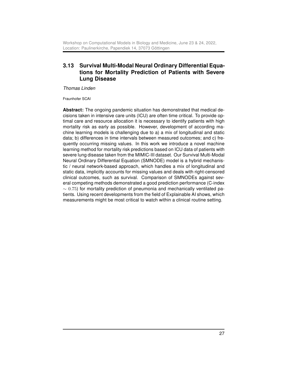# <span id="page-26-0"></span>3.13 Survival Multi-Modal Neural Ordinary Differential Equations for Mortality Prediction of Patients with Severe Lung Disease

Thomas Linden

Fraunhofer SCAI

Abstract: The ongoing pandemic situation has demonstrated that medical decisions taken in intensive care units (ICU) are often time critical. To provide optimal care and resource allocation it is necessary to identify patients with high mortality risk as early as possible. However, development of according machine learning models is challenging due to a) a mix of longitudinal and static data; b) differences in time intervals between measured outcomes; and c) frequently occurring missing values. In this work we introduce a novel machine learning method for mortality risk predictions based on ICU data of patients with severe lung disease taken from the MIMIC-III dataset. Our Survival Multi-Modal Neural Ordinary Differential Equation (SMNODE) model is a hybrid mechanistic / neural network-based approach, which handles a mix of longitudinal and static data, implicitly accounts for missing values and deals with right-censored clinical outcomes, such as survival. Comparison of SMNODEs against several competing methods demonstrated a good prediction performance (C-index  $\sim$  0.75) for mortality prediction of pneumonia and mechanically ventilated patients. Using recent developments from the field of Explainable AI shows, which measurements might be most critical to watch within a clinical routine setting.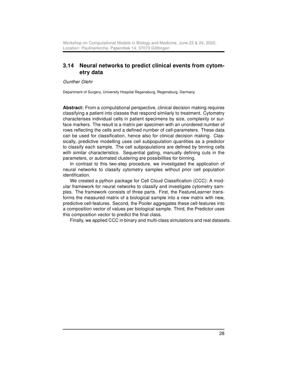### <span id="page-27-0"></span>3.14 Neural networks to predict clinical events from cytometry data

Gunther Glehr

Department of Surgery, University Hospital Regensburg, Regensburg, Germany

Abstract: From a computational perspective, clinical decision making requires classifying a patient into classes that respond similarly to treatment. Cytometry characterises individual cells in patient specimens by size, complexity or surface markers. The result is a matrix per specimen with an unordered number of rows reflecting the cells and a defined number of cell-parameters. These data can be used for classification, hence also for clinical decision making. Classically, predictive modelling uses cell subpopulation quantities as a predictor to classify each sample. The cell subpopulations are defined by binning cells with similar characteristics. Sequential gating, manually defining cuts in the parameters, or automated clustering are possibilities for binning.

In contrast to this two-step procedure, we investigated the application of neural networks to classify cytometry samples without prior cell population identification.

We created a python package for Cell Cloud Classification (CCC): A modular framework for neural networks to classify and investigate cytometry samples. The framework consists of three parts. First, the FeatureLearner transforms the measured matrix of a biological sample into a new matrix with new, predictive cell-features. Second, the Pooler aggregates these cell-features into a composition vector of values per biological sample. Third, the Predictor uses this composition vector to predict the final class.

Finally, we applied CCC in binary and multi-class simulations and real datasets.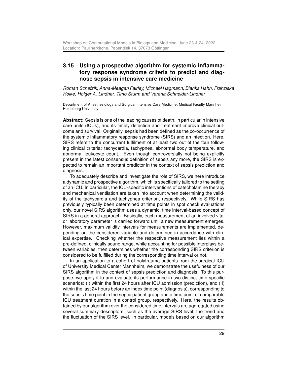#### <span id="page-28-0"></span>3.15 Using a prospective algorithm for systemic inflammatory response syndrome criteria to predict and diagnose sepsis in intensive care medicine

Roman Schefzik, Anna-Meagan Fairley, Michael Hagmann, Bianka Hahn, Franziska Holke, Holger A. Lindner, Timo Sturm and Verena Schneider-Lindner

Department of Anesthesiology and Surgical Intensive Care Medicine; Medical Faculty Mannheim, Heidelberg University

Abstract: Sepsis is one of the leading causes of death, in particular in intensive care units (ICUs), and its timely detection and treatment improve clinical outcome and survival. Originally, sepsis had been defined as the co-occurrence of the systemic inflammatory response syndrome (SIRS) and an infection. Here, SIRS refers to the concurrent fulfilment of at least two out of the four following clinical criteria: tachycardia, tachypnea, abnormal body temperature, and abnormal leukocyte count. Even though controversially not being explicitly present in the latest consensus definition of sepsis any more, the SIRS is expected to remain an important predictor in the context of sepsis prediction and diagnosis.

To adequately describe and investigate the role of SIRS, we here introduce a dynamic and prospective algorithm, which is specifically tailored to the setting of an ICU. In particular, the ICU-specific interventions of catecholamine therapy and mechanical ventilation are taken into account when determining the validity of the tachycardia and tachypnea criterion, respectively. While SIRS has previously typically been determined at time points in spot check evaluations only, our novel SIRS algorithm uses a dynamic, time interval-based concept of SIRS in a general approach. Basically, each measurement of an involved vital or laboratory parameter is carried forward until a new measurement emerges. However, maximum validity intervals for measurements are implemented, depending on the considered variable and determined in accordance with clinical expertise. Checking whether the respective measurement lies within a pre-defined, clinically sound range, while accounting for possible interplays between variables, then determines whether the corresponding SIRS criterion is considered to be fulfilled during the corresponding time interval or not.

In an application to a cohort of polytrauma patients from the surgical ICU of University Medical Center Mannheim, we demonstrate the usefulness of our SIRS algorithm in the context of sepsis prediction and diagnosis. To this purpose, we apply it to and evaluate its performance in two distinct time-specific scenarios: (I) within the first 24 hours after ICU admission (prediction), and (II) within the last 24 hours before an index time point (diagnosis), corresponding to the sepsis time point in the septic patient group and a time point of comparable ICU treatment duration in a control group, respectively. Here, the results obtained by our algorithm over the considered time intervals are aggregated using several summary descriptors, such as the average SIRS level, the trend and the fluctuation of the SIRS level. In particular, models based on our algorithm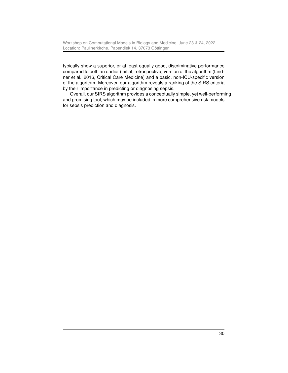typically show a superior, or at least equally good, discriminative performance compared to both an earlier (initial, retrospective) version of the algorithm (Lindner et al. 2016, Critical Care Medicine) and a basic, non-ICU-specific version of the algorithm. Moreover, our algorithm reveals a ranking of the SIRS criteria by their importance in predicting or diagnosing sepsis.

Overall, our SIRS algorithm provides a conceptually simple, yet well-performing and promising tool, which may be included in more comprehensive risk models for sepsis prediction and diagnosis.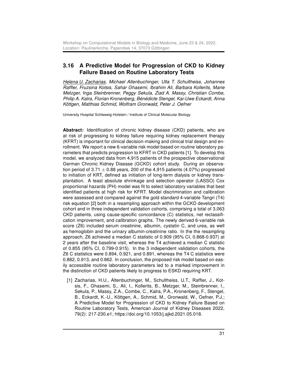# <span id="page-30-0"></span>3.16 A Predictive Model for Progression of CKD to Kidney Failure Based on Routine Laboratory Tests

Helena U. Zacharias, Michael Altenbuchinger, Ulla T. Schultheiss, Johannes Raffler, Fruzsina Kotsis, Sahar Ghasemi, Ibrahim Ali, Barbara Kollerits, Marie Metzger, Inga Steinbrenner, Peggy Sekula, Ziad A. Massy, Christian Combe, Philip A. Kalra, Florian Kronenberg, Bénédicte Stengel, Kai-Uwe Eckardt, Anna Köttgen, Matthias Schmid, Wolfram Gronwald, Peter J. Oefner

University Hospital Schleswig-Holstein / Institute of Clinical Molecular Biology

Abstract: Identification of chronic kidney disease (CKD) patients, who are at risk of progressing to kidney failure requiring kidney replacement therapy (KFRT) is important for clinical decision-making and clinical trial design and enrollment. We report a new 6-variable risk model based on routine laboratory parameters that predicts progression to KFRT in CKD patients [1]. To develop this model, we analyzed data from 4,915 patients of the prospective observational German Chronic Kidney Disease (GCKD) cohort study. During an observation period of 3.71  $\pm$  0.88 years, 200 of the 4,915 patients (4.07%) progressed to initiation of KRT, defined as initiation of long-term dialysis or kidney transplantation. A least absolute shrinkage and selection operator (LASSO) Cox proportional hazards (PH) model was fit to select laboratory variables that best identified patients at high risk for KFRT. Model discrimination and calibration were assessed and compared against the gold standard 4-variable Tangri (T4) risk equation [2] both in a resampling approach within the GCKD development cohort and in three independent validation cohorts, comprising a total of 3,063 CKD patients, using cause-specific concordance (C) statistics, net reclassification improvement, and calibration graphs. The newly derived 6-variable risk score (Z6) included serum creatinine, albumin, cystatin C, and urea, as well as hemoglobin and the urinary albumin-creatinine ratio. In the the resampling approach, Z6 achieved a median C statistic of 0.909 (95% CI, 0.868-0.937) at 2 years after the baseline visit, whereas the T4 achieved a median C statistic of 0.855 (95% CI, 0.799-0.915). In the 3 independent validation cohorts, the Z6 C statistics were 0.894, 0.921, and 0.891, whereas the T4 C statistics were 0.882, 0.913, and 0.862. In conclusion, the proposed risk model based on easily accessible routine laboratory parameters led to a marked improvement in the distinction of CKD patients likely to progress to ESKD requiring KRT.

[1] Zacharias, H.U., Altenbuchinger, M., Schultheiss, U.T., Raffler, J., Kotsis, F., Ghasemi, S., Ali, I., Kollerits, B., Metzger, M., Steinbrenner, I., Sekula, P., Massy, Z.A., Combe, C., Kalra, P.A., Kronenberg, F., Stengel, B., Eckardt, K.-U., Köttgen, A., Schmid, M., Gronwald, W., Oefner, P.J.; A Predictive Model for Progression of CKD to Kidney Failure Based on Routine Laboratory Tests, American Journal of Kidney Diseases 2022, 79(2): 217-230.e1; https://doi.org/10.1053/j.ajkd.2021.05.018.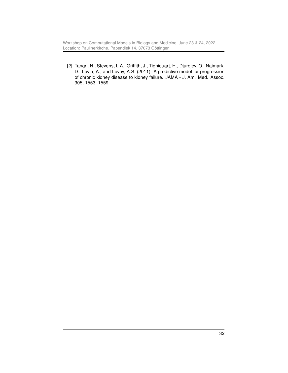Workshop on Computational Models in Biology and Medicine, June 23 & 24, 2022, Location: Paulinerkirche, Papendiek 14, 37073 Göttingen

[2] Tangri, N., Stevens, L.A., Griffith, J., Tighiouart, H., Djurdjev, O., Naimark, D., Levin, A., and Levey, A.S. (2011). A predictive model for progression of chronic kidney disease to kidney failure. JAMA - J. Am. Med. Assoc. 305, 1553–1559.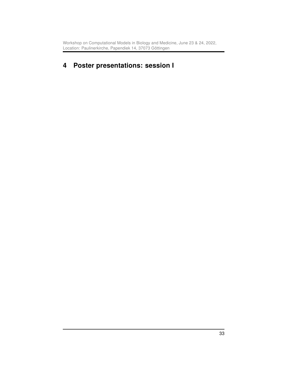# <span id="page-32-0"></span>4 Poster presentations: session I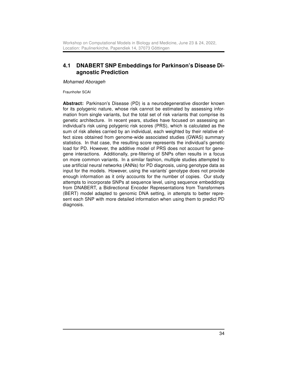## <span id="page-33-0"></span>4.1 DNABERT SNP Embeddings for Parkinson's Disease Diagnostic Prediction

Mohamed Aborageh

Fraunhofer SCAI

Abstract: Parkinson's Disease (PD) is a neurodegenerative disorder known for its polygenic nature, whose risk cannot be estimated by assessing information from single variants, but the total set of risk variants that comprise its genetic architecture. In recent years, studies have focused on assessing an individual's risk using polygenic risk scores (PRS), which is calculated as the sum of risk alleles carried by an individual, each weighted by their relative effect sizes obtained from genome-wide associated studies (GWAS) summary statistics. In that case, the resulting score represents the individual's genetic load for PD. However, the additive model of PRS does not account for genegene interactions. Additionally, pre-filtering of SNPs often results in a focus on more common variants. In a similar fashion, multiple studies attempted to use artificial neural networks (ANNs) for PD diagnosis, using genotype data as input for the models. However, using the variants' genotype does not provide enough information as it only accounts for the number of copies. Our study attempts to incorporate SNPs at sequence level, using sequence embeddings from DNABERT, a Bidirectional Encoder Representations from Transformers (BERT) model adapted to genomic DNA setting, in attempts to better represent each SNP with more detailed information when using them to predict PD diagnosis.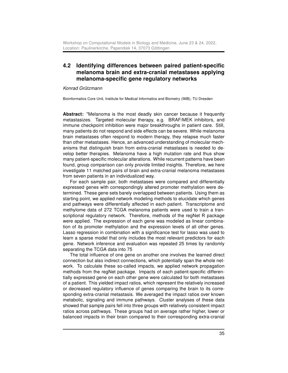### <span id="page-34-0"></span>4.2 Identifying differences between paired patient-specific melanoma brain and extra-cranial metastases applying melanoma-specific gene regulatory networks

#### Konrad Grützmann

Bioinformatics Core Unit, Institute for Medical Informatics and Biometry (IMB), TU Dresden

Abstract: "Melanoma is the most deadly skin cancer because it frequently metastasizes. Targeted molecular therapy, e.g. BRAF/MEK inhibitors, and immune checkpoint inhibition were major breakthroughs in patient care. Still, many patients do not respond and side effects can be severe. While melanoma brain metastases often respond to modern therapy, they relapse much faster than other metastases. Hence, an advanced understanding of molecular mechanisms that distinguish brain from extra-cranial metastases is needed to develop better therapies. Melanoma have a high mutation rate and thus show many patient-specific molecular alterations. While recurrent patterns have been found, group comparison can only provide limited insights. Therefore, we here investigate 11 matched pairs of brain and extra-cranial melanoma metastases from seven patients in an individualized way.

For each sample pair, both metastases were compared and differentially expressed genes with correspondingly altered promoter methylation were determined. These gene sets barely overlapped between patients. Using them as starting point, we applied network modeling methods to elucidate which genes and pathways were differentially affected in each patient. Transcriptome and methylome data of 272 TCGA melanoma patients were used to train a transcriptional regulatory network. Therefore, methods of the regNet R package were applied. The expression of each gene was modeled as linear combination of its promoter methylation and the expression levels of all other genes. Lasso regression in combination with a significance test for lasso was used to learn a sparse model that only includes the most relevant predictors for each gene. Network inference and evaluation was repeated 25 times by randomly separating the TCGA data into 75

The total influence of one gene on another one involves the learned direct connection but also indirect connections, which potentially span the whole network. To calculate these so-called impacts, we applied network propagation methods from the regNet package. Impacts of each patient-specific differentially expressed gene on each other gene were calculated for both metastases of a patient. This yielded impact ratios, which represent the relatively increased or decreased regulatory influence of genes comparing the brain to its corresponding extra-cranial metastasis. We averaged the impact ratios over known metabolic, signaling and immune pathways. Cluster analyses of these data showed that sample pairs fell into three groups with relatively consistent impact ratios across pathways. These groups had on average rather higher, lower or balanced impacts in their brain compared to their corresponding extra-cranial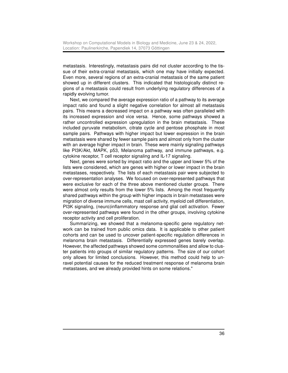metastasis. Interestingly, metastasis pairs did not cluster according to the tissue of their extra-cranial metastasis, which one may have initially expected. Even more, several regions of an extra-cranial metastasis of the same patient showed up in different clusters. This indicated that histologically distinct regions of a metastasis could result from underlying regulatory differences of a rapidly evolving tumor.

Next, we compared the average expression ratio of a pathway to its average impact ratio and found a slight negative correlation for almost all metastasis pairs. This means a decreased impact on a pathway was often paralleled with its increased expression and vice versa. Hence, some pathways showed a rather uncontrolled expression upregulation in the brain metastasis. These included pyruvate metabolism, citrate cycle and pentose phosphate in most sample pairs. Pathways with higher impact but lower expression in the brain metastasis were shared by fewer sample pairs and almost only from the cluster with an average higher impact in brain. These were mainly signaling pathways like PI3K/Akt, MAPK, p53, Melanoma pathway, and immune pathways, e.g. cytokine receptor, T cell receptor signaling and IL-17 signaling.

Next, genes were sorted by impact ratio and the upper and lower 5% of the lists were considered, which are genes with higher or lower impact in the brain metastases, respectively. The lists of each metastasis pair were subjected to over-representation analyses. We focused on over-represented pathways that were exclusive for each of the three above mentioned cluster groups. There were almost only results from the lower 5% lists. Among the most frequently shared pathways within the group with higher impacts in brain metastases were migration of diverse immune cells, mast cell activity, myeloid cell differentiation, PI3K signaling, (neuro)inflammatory response and glial cell activation. Fewer over-represented pathways were found in the other groups, involving cytokine receptor activity and cell proliferation.

Summarizing, we showed that a melanoma-specific gene regulatory network can be trained from public omics data. It is applicable to other patient cohorts and can be used to uncover patient-specific regulation differences in melanoma brain metastasis. Differentially expressed genes barely overlap. However, the affected pathways showed some commonalities and allow to cluster patients into groups of similar regulatory patterns. The size of our cohort only allows for limited conclusions. However, this method could help to unravel potential causes for the reduced treatment response of melanoma brain metastases, and we already provided hints on some relations."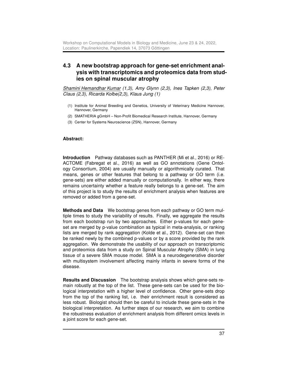# <span id="page-36-0"></span>4.3 A new bootstrap approach for gene-set enrichment analysis with transcriptomics and proteomics data from studies on spinal muscular atrophy

Shamini Hemandhar Kumar (1,3), Amy Glynn (2,3), Ines Tapken (2,3), Peter Claus (2,3), Ricarda Kolbe(2,3), Klaus Jung (1)

- (1) Institute for Animal Breeding and Genetics, University of Veterinary Medicine Hannover, Hannover, Germany
- (2) SMATHERIA gGmbH Non-Profit Biomedical Research Institute, Hannover, Germany
- (3) Center for Systems Neuroscience (ZSN), Hannover, Germany

#### Abstract:

Introduction Pathway databases such as PANTHER (Mi et al., 2016) or RE-ACTOME (Fabregat et al., 2016) as well as GO annotations (Gene Ontology Consortium, 2004) are usually manually or algorithmically curated. That means, genes or other features that belong to a pathway or GO term (i.e. gene-sets) are either added manually or computationally. In either way, there remains uncertainty whether a feature really belongs to a gene-set. The aim of this project is to study the results of enrichment analysis when features are removed or added from a gene-set.

Methods and Data We bootstrap genes from each pathway or GO term multiple times to study the variability of results. Finally, we aggregate the results from each bootstrap run by two approaches. Either p-values for each geneset are merged by p-value combination as typical in meta-analysis, or ranking lists are merged by rank aggregation (Kolde et al., 2012). Gene-set can then be ranked newly by the combined p-values or by a score provided by the rank aggregation. We demonstrate the usability of our approach on transcriptomic and proteomics data from a study on Spinal Muscular Atrophy (SMA) in lung tissue of a severe SMA mouse model. SMA is a neurodegenerative disorder with multisystem involvement affecting mainly infants in severe forms of the disease.

Results and Discussion The bootstrap analysis shows which gene-sets remain robustly at the top of the list. These gene-sets can be used for the biological interpretation with a higher level of confidence. Other gene-sets drop from the top of the ranking list, i.e. their enrichment result is considered as less robust. Biologist should then be careful to include these gene-sets in the biological interpretation. As further steps of our research, we aim to combine the robustness evaluation of enrichment analysis from different omics levels in a joint score for each gene-set.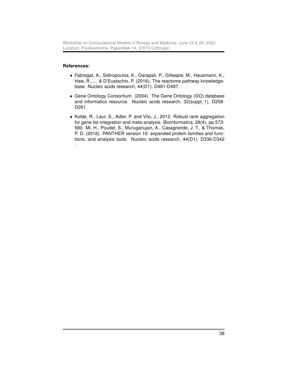Workshop on Computational Models in Biology and Medicine, June 23 & 24, 2022, Location: Paulinerkirche, Papendiek 14, 37073 Göttingen

#### References:

- Fabregat, A., Sidiropoulos, K., Garapati, P., Gillespie, M., Hausmann, K., Haw, R., ... & D'Eustachio, P. (2016). The reactome pathway knowledgebase. Nucleic acids research, 44(D1), D481-D487.
- Gene Ontology Consortium. (2004). The Gene Ontology (GO) database and informatics resource. Nucleic acids research, 32(suppl\_1), D258- D261.
- Kolde, R., Laur, S., Adler, P. and Vilo, J., 2012. Robust rank aggregation for gene list integration and meta-analysis. Bioinformatics, 28(4), pp.573- 580. Mi, H., Poudel, S., Muruganujan, A., Casagrande, J. T., & Thomas, P. D. (2016). PANTHER version 10: expanded protein families and functions, and analysis tools. Nucleic acids research, 44(D1), D336-D342 .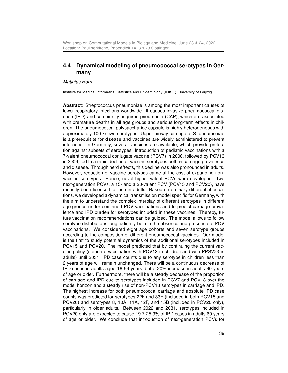# <span id="page-38-0"></span>4.4 Dynamical modeling of pneumococcal serotypes in Germany

#### Matthias Horn

Institute for Medical Informatics, Statistics and Epidemiology (IMISE), University of Leipzig

Abstract: Streptococcus pneumoniae is among the most important causes of lower respiratory infections worldwide. It causes invasive pneumococcal disease (IPD) and community-acquired pneumonia (CAP), which are associated with premature deaths in all age groups and serious long-term effects in children. The pneumococcal polysaccharide capsule is highly heterogeneous with approximately 100 known serotypes. Upper airway carriage of S. pneumoniae is a prerequisite for disease and vaccines are widely administered to prevent infections. In Germany, several vaccines are available, which provide protection against subsets of serotypes. Introduction of pediatric vaccinations with a 7-valent pneumococcal conjugate vaccine (PCV7) in 2006, followed by PCV13 in 2009, led to a rapid decline of vaccine serotypes both in carriage prevalence and disease. Through herd effects, this decline was also pronounced in adults. However, reduction of vaccine serotypes came at the cost of expanding nonvaccine serotypes. Hence, novel higher valent PCVs were developed. Two next-generation PCVs, a 15- and a 20-valent PCV (PCV15 and PCV20), have recently been licensed for use in adults. Based on ordinary differential equations, we developed a dynamical transmission model specific for Germany, with the aim to understand the complex interplay of different serotypes in different age groups under continued PCV vaccinations and to predict carriage prevalence and IPD burden for serotypes included in these vaccines. Thereby, future vaccination recommendations can be guided. The model allows to follow serotype distributions longitudinally both in the absence and presence of PCV vaccinations. We considered eight age cohorts and seven serotype groups according to the composition of different pneumococcal vaccines. Our model is the first to study potential dynamics of the additional serotypes included in PCV15 and PCV20. The model predicted that by continuing the current vaccine policy (standard vaccination with PCV13 in children and with PPSV23 in adults) until 2031, IPD case counts due to any serotype in children less than 2 years of age will remain unchanged. There will be a continuous decrease of IPD cases in adults aged 16-59 years, but a 20% increase in adults 60 years of age or older. Furthermore, there will be a steady decrease of the proportion of carriage and IPD due to serotypes included in PCV7 and PCV13 over the model horizon and a steady rise of non-PCV13 serotypes in carriage and IPD. The highest increase for both pneumococcal carriage and absolute IPD case counts was predicted for serotypes 22F and 33F (included in both PCV15 and PCV20) and serotypes 8, 10A, 11A, 12F, and 15B (included in PCV20 only), particularly in older adults. Between 2022 and 2031, serotypes included in PCV20 only are expected to cause 19.7-25.3% of IPD cases in adults 60 years of age or older. We conclude that introduction of next-generation PCVs for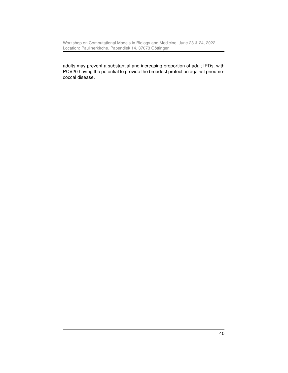Workshop on Computational Models in Biology and Medicine, June 23 & 24, 2022, Location: Paulinerkirche, Papendiek 14, 37073 Göttingen

adults may prevent a substantial and increasing proportion of adult IPDs, with PCV20 having the potential to provide the broadest protection against pneumococcal disease.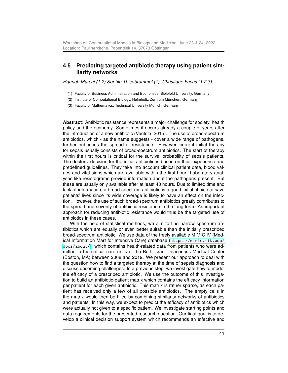#### <span id="page-40-0"></span>4.5 Predicting targeted antibiotic therapy using patient similarity networks

Hannah Marchi (1,2) Sophie Thiesbrummel (1), Christiane Fuchs (1,2,3)

- (1) Faculty of Business Administration and Economics, Bielefeld University, Germany
- (2) Institute of Computational Biology, Helmholtz Zentrum München, Germany
- (3) Faculty of Mathematics, Technical University Munich, Germany

Abstract: Antibiotic resistance represents a major challenge for society, health policy and the economy. Sometimes it occurs already a couple of years after the introduction of a new antibiotic (Ventola, 2015). The use of broad-spectrum antibiotics, which - as the name suggests - cover a wide range of pathogens, further enhances the spread of resistance. However, current initial therapy for sepsis usually consists of broad-spectrum antibiotics. The start of therapy within the first hours is critical for the survival probability of sepsis patients. The doctors' decision for the initial antibiotic is based on their experience and predefined guidelines. They take into account clinical patient data, blood values and vital signs which are available within the first hour. Laboratory analyses like resistograms provide information about the pathogens present. But these are usually only available after at least 48 hours. Due to limited time and lack of information, a broad-spectrum antibiotic is a good initial choice to save patients' lives since its wide coverage is likely to have an effect on the infection. However, the use of such broad-spectrum antibiotics greatly contributes to the spread and severity of antibiotic resistance in the long term. An important approach for reducing antibiotic resistance would thus be the targeted use of antibiotics in these cases.

With the help of statistical methods, we aim to find narrow spectrum antibiotics which are equally or even better suitable than the initially prescribed broad-spectrum antibiotic. We use data of the freely available MIMIC IV (Medical Information Mart for Intensive Care) database ([https://mimic.mit.edu/](https://mimic.mit.edu/docs/about/) [docs/about/](https://mimic.mit.edu/docs/about/)), which contains health-related data from patients who were admitted to the critical care units of the Beth Israel Deaconess Medical Center (Boston, MA) between 2008 and 2019. We present our approach to deal with the question how to find a targeted therapy at the time of sepsis diagnosis and discuss upcoming challenges. In a previous step, we investigate how to model the efficacy of a prescribed antibiotic. We use the outcome of this investigation to build an antibiotic-patient matrix which contains the efficacy information per patient for each given antibiotic. This matrix is rather sparse, as each patient has received only a few of all possible antibiotics. The empty cells in the matrix would then be filled by combining similarity networks of antibiotics and patients. In this way, we expect to predict the efficacy of antibiotics which were actually not given to a specific patient. We investigate starting points and data requirements for the presented research question. Our final goal is to develop a clinical decision support system which recommends an effective and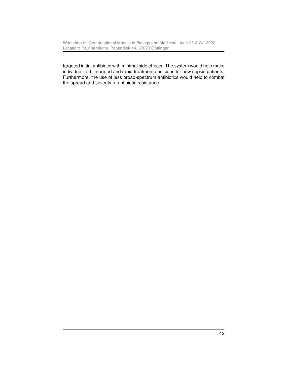targeted initial antibiotic with minimal side effects. The system would help make individualized, informed and rapid treatment decisions for new sepsis patients. Furthermore, the use of less broad-spectrum antibiotics would help to combat the spread and severity of antibiotic resistance.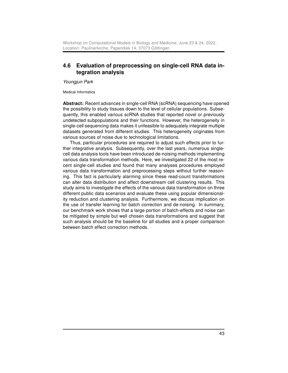## <span id="page-42-0"></span>4.6 Evaluation of preprocessing on single-cell RNA data integration analysis

Youngjun Park

Medical Informatics

Abstract: Recent advances in single-cell RNA (scRNA) sequencing have opened the possibility to study tissues down to the level of cellular populations. Subsequently, this enabled various scRNA studies that reported novel or previously undetected subpopulations and their functions. However, the heterogeneity in single-cell sequencing data makes it unfeasible to adequately integrate multiple datasets generated from different studies. This heterogeneity originates from various sources of noise due to technological limitations.

Thus, particular procedures are required to adjust such effects prior to further integrative analysis. Subsequently, over the last years, numerous singlecell data analysis tools have been introduced de-noising methods implementing various data transformation methods. Here, we investigated 22 of the most recent single-cell studies and found that many analyses procedures employed various data transformation and preprocessing steps without further reasoning. This fact is particularly alarming since these read-count transformations can alter data distribution and affect downstream cell clustering results. This study aims to investigate the effects of the various data transformation on three different public data scenarios and evaluate these using popular dimensionality reduction and clustering analysis. Furthermore, we discuss implication on the use of transfer learning for batch correction and de-noising. In summary, our benchmark work shows that a large portion of batch-effects and noise can be mitigated by simple but well chosen data transformations and suggest that such analysis should be the baseline for all studies and a proper comparison between batch effect correction methods.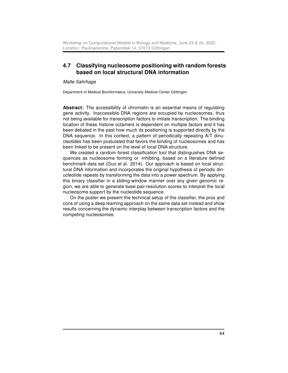### <span id="page-43-0"></span>4.7 Classifying nucleosome positioning with random forests based on local structural DNA information

Malte Sahrhage

Department of Medical Bioinformatics, University Medical Center Göttingen

Abstract: The accessibility of chromatin is an essential means of regulating gene activity. Inaccessible DNA regions are occupied by nucleosomes, thus not being available for transcription factors to initiate transcription. The binding location of these histone octamers is dependent on multiple factors and it has been debated in the past how much its positioning is supported directly by the DNA sequence. In this context, a pattern of periodically repeating A/T dinucleotides has been postulated that favors the binding of nucleosomes and has been linked to be present on the level of local DNA structure.

We created a random forest classification tool that distinguishes DNA sequences as nucleosome forming or -inhibting, based on a literature defined benchmark data set (Guo et al. 2014). Our approach is based on local structural DNA information and incorporates the original hypothesis of periodic dinucleotide repeats by transforming the data into a power spectrum. By applying this binary classifier in a sliding-window manner over any given genomic region, we are able to generate base pair-resolution scores to interpret the local nucleosome support by the nucleotide sequence.

On the poster we present the technical setup of the classifier, the pros and cons of using a deep learning approach on the same data set instead and show results concerning the dynamic interplay between transcription factors and the competing nucleosomes.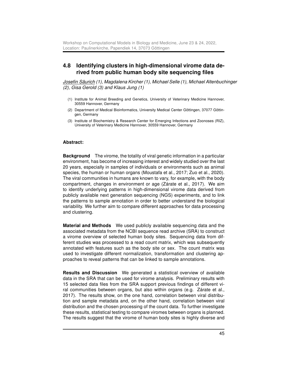### <span id="page-44-0"></span>4.8 Identifying clusters in high-dimensional virome data derived from public human body site sequencing files

Josefin Säurich (1), Magdalena Kircher (1), Michael Selle (1), Michael Altenbuchinger (2), Gisa Gerold (3) and Klaus Jung (1)

- (1) Institute for Animal Breeding and Genetics, University of Veterinary Medicine Hannover, 30559 Hannover, Germany
- (2) Department of Medical Bioinformatics, University Medical Center Göttingen, 37077 Göttingen, Germany
- (3) Institute of Biochemistry & Research Center for Emerging Infections and Zoonoses (RIZ), University of Veterinary Medicine Hannover, 30559 Hannover, Germany

#### Abstract:

Background The virome, the totality of viral genetic information in a particular environment, has become of increasing interest and widely studied over the last 20 years, especially in samples of individuals or environments such as animal species, the human or human organs (Moustafa et al., 2017; Zuo et al., 2020). The viral communities in humans are known to vary, for example, with the body compartment, changes in environment or age (Zárate et al., 2017). We aim to identify underlying patterns in high-dimensional virome data derived from publicly available next generation sequencing (NGS) experiments, and to link the patterns to sample annotation in order to better understand the biological variability. We further aim to compare different approaches for data processing and clustering.

Material and Methods We used publicly available sequencing data and the associated metadata from the NCBI sequence read archive (SRA) to construct a virome overview of selected human body sites. Sequencing data from different studies was processed to a read count matrix, which was subsequently annotated with features such as the body site or sex. The count matrix was used to investigate different normalization, transformation and clustering approaches to reveal patterns that can be linked to sample annotations.

Results and Discussion We generated a statistical overview of available data in the SRA that can be used for virome analysis. Preliminary results with 15 selected data files from the SRA support previous findings of different viral communities between organs, but also within organs (e.g. Zárate et al., 2017). The results show, on the one hand, correlation between viral distribution and sample metadata and, on the other hand, correlation between viral distribution and the chosen processing of the count data. To further investigate these results, statistical testing to compare viromes between organs is planned. The results suggest that the virome of human body sites is highly diverse and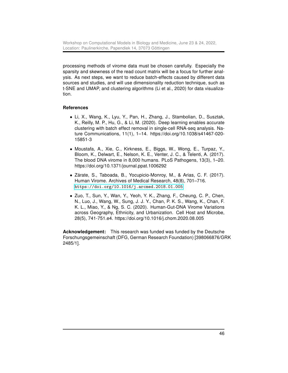processing methods of virome data must be chosen carefully. Especially the sparsity and skewness of the read count matrix will be a focus for further analysis. As next steps, we want to reduce batch-effects caused by different data sources and studies, and will use dimensionality reduction technique, such as t-SNE and UMAP, and clustering algorithms (Li et al., 2020) for data visualization.

#### References

- Li, X., Wang, K., Lyu, Y., Pan, H., Zhang, J., Stambolian, D., Susztak, K., Reilly, M. P., Hu, G., & Li, M. (2020). Deep learning enables accurate clustering with batch effect removal in single-cell RNA-seq analysis. Nature Communications, 11(1), 1–14. https://doi.org/10.1038/s41467-020- 15851-3
- Moustafa, A., Xie, C., Kirkness, E., Biggs, W., Wong, E., Turpaz, Y., Bloom, K., Delwart, E., Nelson, K. E., Venter, J. C., & Telenti, A. (2017). The blood DNA virome in 8,000 humans. PLoS Pathogens, 13(3), 1–20. https://doi.org/10.1371/journal.ppat.1006292
- Zárate, S., Taboada, B., Yocupicio-Monroy, M., & Arias, C. F. (2017). Human Virome. Archives of Medical Research, 48(8), 701–716. <https://doi.org/10.1016/j.arcmed.2018.01.005>
- Zuo, T., Sun, Y., Wan, Y., Yeoh, Y. K., Zhang, F., Cheung, C. P., Chen, N., Luo, J., Wang, W., Sung, J. J. Y., Chan, P. K. S., Wang, K., Chan, F. K. L., Miao, Y., & Ng, S. C. (2020). Human-Gut-DNA Virome Variations across Geography, Ethnicity, and Urbanization. Cell Host and Microbe, 28(5), 741-751.e4. https://doi.org/10.1016/j.chom.2020.08.005

Acknowledgement: This research was funded was funded by the Deutsche Forschungsgemeinschaft (DFG, German Research Foundation) [398066876/GRK 2485/1].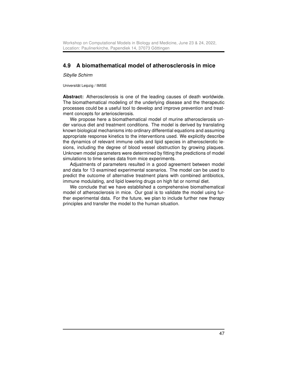# <span id="page-46-0"></span>4.9 A biomathematical model of atherosclerosis in mice

Sibylle Schirm

Universität Leipzig / IMISE

Abstract: Atherosclerosis is one of the leading causes of death worldwide. The biomathematical modeling of the underlying disease and the therapeutic processes could be a useful tool to develop and improve prevention and treatment concepts for arteriosclerosis.

We propose here a biomathematical model of murine atherosclerosis under various diet and treatment conditions. The model is derived by translating known biological mechanisms into ordinary differential equations and assuming appropriate response kinetics to the interventions used. We explicitly describe the dynamics of relevant immune cells and lipid species in atherosclerotic lesions, including the degree of blood vessel obstruction by growing plaques. Unknown model parameters were determined by fitting the predictions of model simulations to time series data from mice experiments.

Adjustments of parameters resulted in a good agreement between model and data for 13 examined experimental scenarios. The model can be used to predict the outcome of alternative treatment plans with combined antibiotics, immune modulating, and lipid lowering drugs on high fat or normal diet.

We conclude that we have established a comprehensive biomathematical model of atherosclerosis in mice. Our goal is to validate the model using further experimental data. For the future, we plan to include further new therapy principles and transfer the model to the human situation.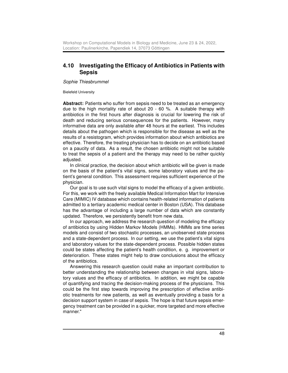#### <span id="page-47-0"></span>4.10 Investigating the Efficacy of Antibiotics in Patients with Sepsis

Sophie Thiesbrummel

Bielefeld University

Abstract: Patients who suffer from sepsis need to be treated as an emergency due to the high mortality rate of about 20 - 60 %. A suitable therapy with antibiotics in the first hours after diagnosis is crucial for lowering the risk of death and reducing serious consequences for the patients. However, many informative data are only available after 48 hours at the earliest. This includes details about the pathogen which is responsible for the disease as well as the results of a resistogram, which provides information about which antibiotics are effective. Therefore, the treating physician has to decide on an antibiotic based on a paucity of data. As a result, the chosen antibiotic might not be suitable to treat the sepsis of a patient and the therapy may need to be rather quickly adjusted.

In clinical practice, the decision about which antibiotic will be given is made on the basis of the patient's vital signs, some laboratory values and the patient's general condition. This assessment requires sufficient experience of the physician.

Our goal is to use such vital signs to model the efficacy of a given antibiotic. For this, we work with the freely available Medical Information Mart for Intensive Care (MIMIC) IV database which contains health-related information of patients admitted to a tertiary academic medical center in Boston (USA). This database has the advantage of including a large number of data which are constantly updated. Therefore, we persistently benefit from new data.

In our approach, we address the research question of modeling the efficacy of antibiotics by using Hidden Markov Models (HMMs). HMMs are time series models and consist of two stochastic processes, an unobserved state process and a state-dependent process. In our setting, we use the patient's vital signs and laboratory values for the state-dependent process. Possible hidden states could be states affecting the patient's health condition, e. g. improvement or deterioration. These states might help to draw conclusions about the efficacy of the antibiotics.

Answering this research question could make an important contribution to better understanding the relationship between changes in vital signs, laboratory values and the efficacy of antibiotics. In addition, we might be capable of quantifying and tracing the decision-making process of the physicians. This could be the first step towards improving the prescription of effective antibiotic treatments for new patients, as well as eventually providing a basis for a decision support system in case of sepsis. The hope is that future sepsis emergency treatment can be provided in a quicker, more targeted and more effective manner."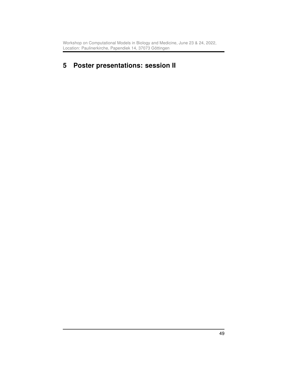# <span id="page-48-0"></span>5 Poster presentations: session II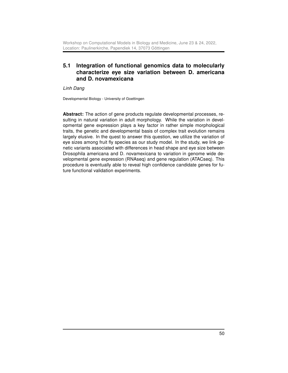# <span id="page-49-0"></span>5.1 Integration of functional genomics data to molecularly characterize eye size variation between D. americana and D. novamexicana

Linh Dang

Developmental Biology - University of Goettingen

Abstract: The action of gene products regulate developmental processes, resulting in natural variation in adult morphology. While the variation in developmental gene expression plays a key factor in rather simple morphological traits, the genetic and developmental basis of complex trait evolution remains largely elusive. In the quest to answer this question, we utilize the variation of eye sizes among fruit fly species as our study model. In the study, we link genetic variants associated with differences in head shape and eye size between Drosophila americana and D. novamexicana to variation in genome wide developmental gene expression (RNAseq) and gene regulation (ATACseq). This procedure is eventually able to reveal high confidence candidate genes for future functional validation experiments.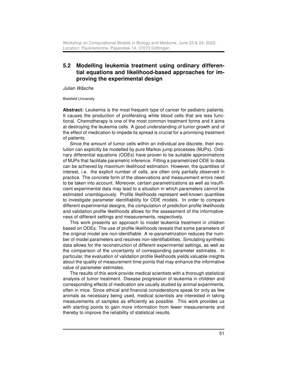## <span id="page-50-0"></span>5.2 Modelling leukemia treatment using ordinary differential equations and likelihood-based approaches for improving the experimental design

Julian Wäsche

Bielefeld University

Abstract: Leukemia is the most frequent type of cancer for pediatric patients. It causes the production of proliferating white blood cells that are less functional. Chemotherapy is one of the most common treatment forms and it aims at destroying the leukemia cells. A good understanding of tumor growth and of the effect of medication to impede its spread is crucial for a promising treatment of patients.

Since the amount of tumor cells within an individual are discrete, their evolution can explicitly be modelled by pure Markov jump processes (MJPs). Ordinary differential equations (ODEs) have proven to be suitable approximations of MJPs that facilitate parametric inference. Fitting a parametrized ODE to data can be achieved by maximum likelihood estimation. However, the quantities of interest, i.e. the explicit number of cells, are often only partially observed in practice. The concrete form of the observations and measurement errors need to be taken into account. Moreover, certain parametrizations as well as insufficient experimental data may lead to a situation in which parameters cannot be estimated unambiguously. Profile likelihoods represent well-known quantities to investigate parameter identifiability for ODE models. In order to compare different experimental designs, the computation of prediction profile likelihoods and validation profile likelihoods allows for the assessment of the informativeness of different settings and measurements, respectively.

This work presents an approach to model leukemia treatment in children based on ODEs. The use of profile likelihoods reveals that some parameters of the original model are non-identifiable. A re-parametrization reduces the number of model parameters and resolves non-identifiabilities. Simulating synthetic data allows for the reconstruction of different experimental settings, as well as the comparison of the uncertainty of corresponding parameter estimates. In particular, the evaluation of validation profile likelihoods yields valuable insights about the quality of measurement time points that may enhance the informative value of parameter estimates.

The results of this work provide medical scientists with a thorough statistical analysis of tumor treatment. Disease progression of leukemia in children and corresponding effects of medication are usually studied by animal experiments, often in mice. Since ethical and financial considerations speak for only as few animals as necessary being used, medical scientists are interested in taking measurements of samples as efficiently as possible. This work provides us with starting points to gain more information from fewer measurements and thereby to improve the reliability of statistical results.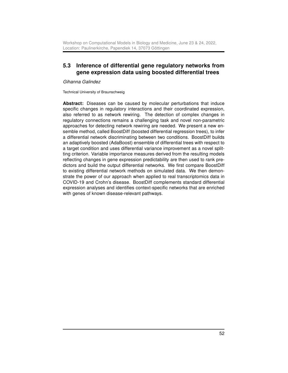### <span id="page-51-0"></span>5.3 Inference of differential gene regulatory networks from gene expression data using boosted differential trees

Gihanna Galindez

Technical University of Braunschweig

Abstract: Diseases can be caused by molecular perturbations that induce specific changes in regulatory interactions and their coordinated expression, also referred to as network rewiring. The detection of complex changes in regulatory connections remains a challenging task and novel non-parametric approaches for detecting network rewiring are needed. We present a new ensemble method, called BoostDiff (boosted differential regression trees), to infer a differential network discriminating between two conditions. BoostDiff builds an adaptively boosted (AdaBoost) ensemble of differential trees with respect to a target condition and uses differential variance improvement as a novel splitting criterion. Variable importance measures derived from the resulting models reflecting changes in gene expression predictability are then used to rank predictors and build the output differential networks. We first compare BoostDiff to existing differential network methods on simulated data. We then demonstrate the power of our approach when applied to real transcriptomics data in COVID-19 and Crohn's disease. BoostDiff complements standard differential expression analyses and identifies context-specific networks that are enriched with genes of known disease-relevant pathways.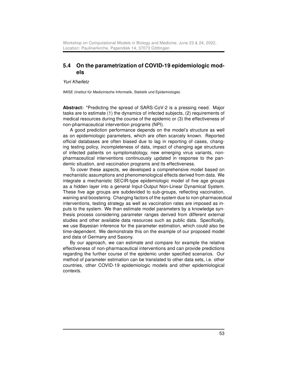#### <span id="page-52-0"></span>5.4 On the parametrization of COVID-19 epidemiologic models

Yuri Kheifetz

IMISE (Institut für Medizinische Informatik, Statistik und Epidemiologie)

Abstract: "Predicting the spread of SARS-CoV-2 is a pressing need. Major tasks are to estimate (1) the dynamics of infected subjects, (2) requirements of medical resources during the course of the epidemic or (3) the effectiveness of non-pharmaceutical intervention programs (NPI).

A good prediction performance depends on the model's structure as well as on epidemiologic parameters, which are often scarcely known. Reported official databases are often biased due to lag in reporting of cases, changing testing policy, incompleteness of data, impact of changing age structures of infected patients on symptomatology, new emerging virus variants, nonpharmaceutical interventions continuously updated in response to the pandemic situation, and vaccination programs and its effectiveness.

To cover these aspects, we developed a comprehensive model based on mechanistic assumptions and phenomenological effects derived from data. We integrate a mechanistic SECIR-type epidemiologic model of five age groups as a hidden layer into a general Input-Output Non-Linear Dynamical System. These five age groups are subdevided to sub-groups, reflecting vaccination, waining and boostering. Changing factors of the system due to non-pharmaceutical interventions, testing strategy as well as vaccination rates are imposed as inputs to the system. We than estimate model parameters by a knowledge synthesis process considering parameter ranges derived from different external studies and other available data resources such as public data. Specifically, we use Bayesian inference for the parameter estimation, which could also be time-dependent. We demonstrate this on the example of our proposed model and data of Germany and Saxony.

By our approach, we can estimate and compare for example the relative effectiveness of non-pharmaceutical interventions and can provide predictions regarding the further course of the epidemic under specified scenarios. Our method of parameter estimation can be translated to other data sets, i.e. other countries, other COVID-19 epidemiologic models and other epidemiological contexts.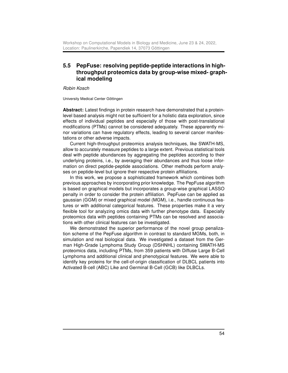# <span id="page-53-0"></span>5.5 PepFuse: resolving peptide-peptide interactions in highthroughput proteomics data by group-wise mixed- graphical modeling

Robin Kosch

University Medical Center Göttingen

Abstract: Latest findings in protein research have demonstrated that a proteinlevel based analysis might not be sufficient for a holistic data exploration, since effects of individual peptides and especially of those with post-translational modifications (PTMs) cannot be considered adequately. These apparently minor variations can have regulatory effects, leading to several cancer manifestations or other adverse impacts.

Current high-throughput proteomics analysis techniques, like SWATH-MS, allow to accurately measure peptides to a large extent. Previous statistical tools deal with peptide abundances by aggregating the peptides according to their underlying proteins, i.e., by averaging their abundances and thus loose information on direct peptide-peptide associations. Other methods perform analyses on peptide-level but ignore their respective protein affiliations.

In this work, we propose a sophisticated framework which combines both previous approaches by incorporating prior knowledge. The PepFuse algorithm is based on graphical models but incorporates a group-wise graphical LASSO penalty in order to consider the protein affiliation. PepFuse can be applied as gaussian (GGM) or mixed graphical model (MGM), i.e., handle continuous features or with additional categorical features. These properties make it a very flexible tool for analyzing omics data with further phenotype data. Especially proteomics data with peptides containing PTMs can be resolved and associations with other clinical features can be investigated.

We demonstrated the superior performance of the novel group penalization scheme of the PepFuse algorithm in contrast to standard MGMs, both, in simulation and real biological data. We investigated a dataset from the German High-Grade Lymphoma Study Group (DSHNHL) containing SWATH-MS proteomics data, including PTMs, from 359 patients with Diffuse Large B-Cell Lymphoma and additional clinical and phenotypical features. We were able to identify key proteins for the cell-of-origin classification of DLBCL patients into Activated B-cell (ABC) Like and Germinal B-Cell (GCB) like DLBCLs.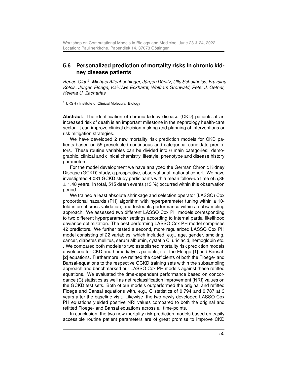#### <span id="page-54-0"></span>5.6 Personalized prediction of mortality risks in chronic kidney disease patients

Bence Oláh<sup>1</sup>, Michael Altenbuchinger, Jürgen Dönitz, Ulla Schultheiss, Fruzsina Kotsis, Jürgen Floege, Kai-Uwe Eckhardt, Wolfram Gronwald, Peter J. Oefner, Helena U. Zacharias

<sup>1</sup> UKSH / Institute of Clinical Molecular Biology

Abstract: The identification of chronic kidney disease (CKD) patients at an increased risk of death is an important milestone in the nephrology health-care sector. It can improve clinical decision making and planning of interventions or risk mitigation strategies.

We have developed 2 new mortality risk prediction models for CKD patients based on 55 preselected continuous and categorical candidate predictors. These routine variables can be divided into 6 main categories: demographic, clinical and clinical chemistry, lifestyle, phenotype and disease history parameters.

For the model development we have analyzed the German Chronic Kidney Disease (GCKD) study, a prospective, observational, national cohort. We have investigated 4,081 GCKD study participants with a mean follow-up time of 5,86  $\pm$  1.48 years. In total, 515 death events (13 %) occurred within this observation period.

We trained a least absolute shrinkage and selection operator (LASSO) Cox proportional hazards (PH) algorithm with hyperparameter tuning within a 10 fold internal cross-validation, and tested its performance within a subsampling approach. We assessed two different LASSO Cox PH models corresponding to two different hyperparameter settings according to internal partial likelihood deviance optimization. The best performing LASSO Cox PH model comprises 42 predictors. We further tested a second, more regularized LASSO Cox PH model consisting of 22 variables, which included, e.g., age, gender, smoking, cancer, diabetes mellitus, serum albumin, cystatin C, uric acid, hemoglobin etc. . We compared both models to two established mortality risk prediction models developed for CKD and hemodialysis patients, i.e., the Floege-[1] and Bansal- [2] equations. Furthermore, we refitted the coefficients of both the Floege- and Bansal-equations to the respective GCKD training sets within the subsampling approach and benchmarked our LASSO Cox PH models against these refitted equations. We evaluated the time-dependent performance based on concordance (C) statistics as well as net reclassification improvement (NRI) values on the GCKD test sets. Both of our models outperformed the original and refitted Floege and Bansal equations with, e.g., C statistics of 0.794 and 0.787 at 3 years after the baseline visit. Likewise, the two newly developed LASSO Cox PH equations yielded positive NRI values compared to both the original and refitted Floege- and Bansal equations across all time-points.

In conclusion, the two new mortality risk prediction models based on easily accessible routine patient parameters are of great promise to improve CKD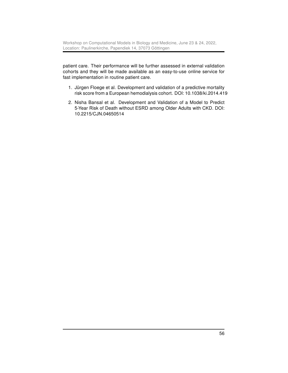patient care. Their performance will be further assessed in external validation cohorts and they will be made available as an easy-to-use online service for fast implementation in routine patient care.

- 1. Jürgen Floege et al. Development and validation of a predictive mortality risk score from a European hemodialysis cohort. DOI: 10.1038/ki.2014.419
- 2. Nisha Bansal et al. Development and Validation of a Model to Predict 5-Year Risk of Death without ESRD among Older Adults with CKD. DOI: 10.2215/CJN.04650514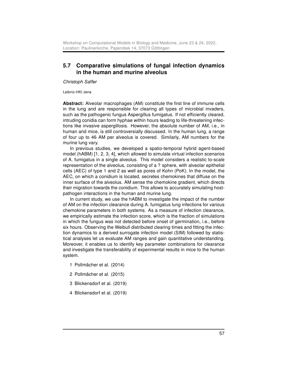#### <span id="page-56-0"></span>5.7 Comparative simulations of fungal infection dynamics in the human and murine alveolus

Christoph Saffer

Leibniz-HKI Jena

Abstract: Alveolar macrophages (AM) constitute the first line of immune cells in the lung and are responsible for clearing all types of microbial invaders, such as the pathogenic fungus Aspergillus fumigatus. If not efficiently cleared, intruding conidia can form hyphae within hours leading to life-threatening infections like invasive aspergillosis. However, the absolute number of AM, i.e., in human and mice, is still controversially discussed. In the human lung, a range of four up to 46 AM per alveolus is covered. Similarly, AM numbers for the murine lung vary.

In previous studies, we developed a spatio-temporal hybrid agent-based model (hABM) [1, 2, 3, 4], which allowed to simulate virtual infection scenarios of A. fumigatus in a single alveolus. This model considers a realistic to-scale representation of the alveolus, consisting of a ? sphere, with alveolar epithelial cells (AEC) of type 1 and 2 as well as pores of Kohn (PoK). In the model, the AEC, on which a conidium is located, secretes chemokines that diffuse on the inner surface of the alveolus. AM sense the chemokine gradient, which directs their migration towards the conidium. This allows to accurately simulating hostpathogen interactions in the human and murine lung.

In current study, we use the hABM to investigate the impact of the number of AM on the infection clearance during A. fumigatus lung infections for various chemokine parameters in both systems. As a measure of infection clearance, we empirically estimate the infection score, which is the fraction of simulations in which the fungus was not detected before onset of germination, i.e., before six hours. Observing the Weibull distributed clearing times and fitting the infection dynamics to a derived surrogate infection model (SIM) followed by statistical analyses let us evaluate AM ranges and gain quantitative understanding. Moreover, it enables us to identify key parameter combinations for clearance and investigate the transferability of experimental results in mice to the human system.

- 1 Pollmächer et al. (2014)
- 2 Pollmächer et al. (2015)
- 3 Blickensdorf et al. (2019)
- 4 Blickensdorf et al. (2019)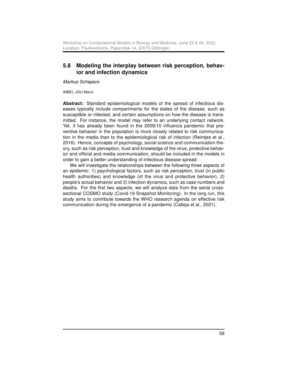#### <span id="page-57-0"></span>5.8 Modeling the interplay between risk perception, behavior and infection dynamics

Markus Schepers

IMBEI, JGU Mainz

Abstract: Standard epidemiological models of the spread of infectious diseases typically include compartments for the states of the disease, such as susceptible or infected, and certain assumptions on how the disease is transmitted. For instance, the model may refer to an underlying contact network. Yet, it has already been found in the 2009/10 influenza pandemic that preventive behavior in the population is more closely related to risk communication in the media than to the epidemiological risk of infection (Reintjes et al., 2016). Hence, concepts of psychology, social science and communication theory, such as risk perception, trust and knowledge of the virus, protective behavior and official and media communication, should be included in the models in order to gain a better understanding of infectious disease spread.

We will investigate the relationships between the following three aspects of an epidemic: 1) psychological factors, such as risk perception, trust (in public health authorities) and knowledge (of the virus and protective behavior), 2) people's actual behavior and 3) infection dynamics, such as case numbers and deaths. For the first two aspects, we will analyze data from the serial crosssectional COSMO study (Covid-19 Snapshot Monitoring). In the long run, this study aims to contribute towards the WHO research agenda on effective risk communication during the emergence of a pandemic (Calleja et al., 2021).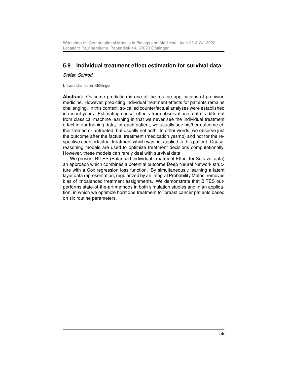# <span id="page-58-0"></span>5.9 Individual treatment effect estimation for survival data

Stefan Schrod

Universitäsmedizin Göttingen

Abstract: Outcome prediction is one of the routine applications of precision medicine. However, predicting individual treatment effects for patients remains challenging. In this context, so-called counterfactual analyses were established in recent years. Estimating causal effects from observational data is different from classical machine learning in that we never see the individual treatment effect in our training data; for each patient, we usually see his/her outcome either treated or untreated, but usually not both. In other words, we observe just the outcome after the factual treatment (medication yes/no) and not for the respective counterfactual treatment which was not applied to this patient. Causal reasoning models are used to optimize treatment decisions computationally. However, these models can rarely deal with survival data.

We present BITES (Balanced Individual Treatment Effect for Survival data) an approach which combines a potential outcome Deep Neural Network structure with a Cox regression loss function. By simultaneously learning a latent layer data representation, regularized by an Integral Probability Metric, removes bias of imbalanced treatment assignments. We demonstrate that BITES outperforms state-of-the-art methods in both simulation studies and in an application, in which we optimize hormone treatment for breast cancer patients based on six routine parameters.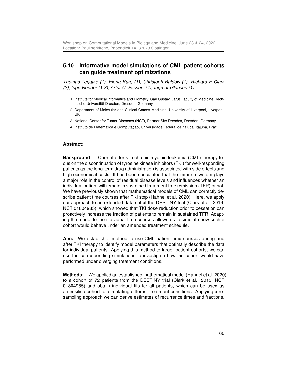#### <span id="page-59-0"></span>5.10 Informative model simulations of CML patient cohorts can guide treatment optimizations

Thomas Zerjatke (1), Elena Karg (1), Christoph Baldow (1), Richard E Clark (2), Ingo Roeder (1,3), Artur C. Fassoni (4), Ingmar Glauche (1)

- 1 Institute for Medical Informatics and Biometry, Carl Gustav Carus Faculty of Medicine, Technische Universität Dresden, Dresden, Germany
- 2 Department of Molecular and Clinical Cancer Medicine, University of Liverpool, Liverpool, UK
- 3 National Center for Tumor Diseases (NCT), Partner Site Dresden, Dresden, Germany
- 4 Instituto de Matemática e Computação, Universidade Federal de Itajubá, Itajubá, Brazil

#### Abstract:

Background: Current efforts in chronic myeloid leukemia (CML) therapy focus on the discontinuation of tyrosine kinase inhibitors (TKI) for well-responding patients as the long-term drug administration is associated with side effects and high economical costs. It has been speculated that the immune system plays a major role in the control of residual disease levels and influences whether an individual patient will remain in sustained treatment free remission (TFR) or not. We have previously shown that mathematical models of CML can correctly describe patient time courses after TKI stop (Hahnel et al. 2020). Here, we apply our approach to an extended data set of the DESTINY trial (Clark et al. 2019, NCT 01804985), which showed that TKI dose reduction prior to cessation can proactively increase the fraction of patients to remain in sustained TFR. Adapting the model to the individual time courses allows us to simulate how such a cohort would behave under an amended treatment schedule.

Aim: We establish a method to use CML patient time courses during and after TKI therapy to identify model parameters that optimally describe the data for individual patients. Applying this method to larger patient cohorts, we can use the corresponding simulations to investigate how the cohort would have performed under diverging treatment conditions.

Methods: We applied an established mathematical model (Hahnel et al. 2020) to a cohort of 72 patients from the DESTINY trial (Clark et al. 2019, NCT 01804985) and obtain individual fits for all patients, which can be used as an in-silico cohort for simulating different treatment conditions. Applying a resampling approach we can derive estimates of recurrence times and fractions.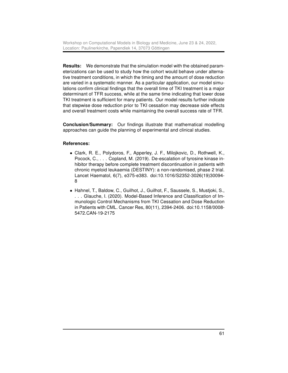Results: We demonstrate that the simulation model with the obtained parameterizations can be used to study how the cohort would behave under alternative treatment conditions, in which the timing and the amount of dose reduction are varied in a systematic manner. As a particular application, our model simulations confirm clinical findings that the overall time of TKI treatment is a major determinant of TFR success, while at the same time indicating that lower dose TKI treatment is sufficient for many patients. Our model results further indicate that stepwise dose reduction prior to TKI cessation may decrease side effects and overall treatment costs while maintaining the overall success rate of TFR.

Conclusion/Summary: Our findings illustrate that mathematical modelling approaches can guide the planning of experimental and clinical studies.

#### References:

- Clark, R. E., Polydoros, F., Apperley, J. F., Milojkovic, D., Rothwell, K., Pocock, C., . . . Copland, M. (2019). De-escalation of tyrosine kinase inhibitor therapy before complete treatment discontinuation in patients with chronic myeloid leukaemia (DESTINY): a non-randomised, phase 2 trial. Lancet Haematol, 6(7), e375-e383. doi:10.1016/S2352-3026(19)30094- 8
- Hahnel, T., Baldow, C., Guilhot, J., Guilhot, F., Saussele, S., Mustjoki, S., . . . Glauche, I. (2020). Model-Based Inference and Classification of Immunologic Control Mechanisms from TKI Cessation and Dose Reduction in Patients with CML. Cancer Res, 80(11), 2394-2406. doi:10.1158/0008- 5472.CAN-19-2175